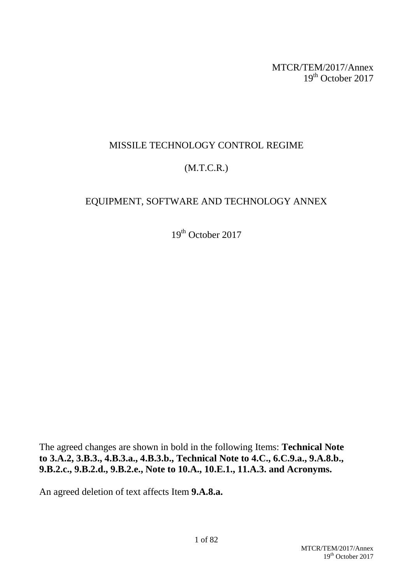MTCR/TEM/2017/Annex 19<sup>th</sup> October 2017

# MISSILE TECHNOLOGY CONTROL REGIME

# (M.T.C.R.)

# EQUIPMENT, SOFTWARE AND TECHNOLOGY ANNEX

19<sup>th</sup> October 2017

The agreed changes are shown in bold in the following Items: **Technical Note to 3.A.2, 3.B.3., 4.B.3.a., 4.B.3.b., Technical Note to 4.C., 6.C.9.a., 9.A.8.b., 9.B.2.c., 9.B.2.d., 9.B.2.e., Note to 10.A., 10.E.1., 11.A.3. and Acronyms.**

An agreed deletion of text affects Item **9.A.8.a.**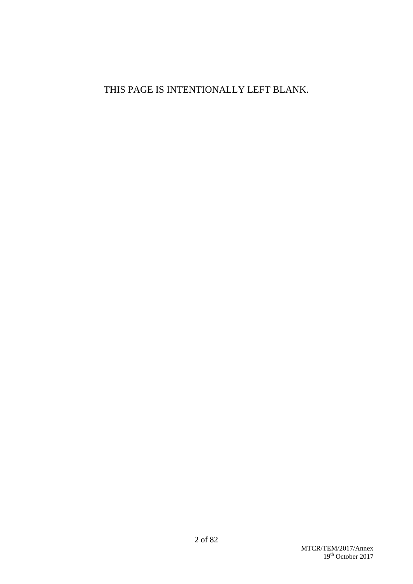# THIS PAGE IS INTENTIONALLY LEFT BLANK.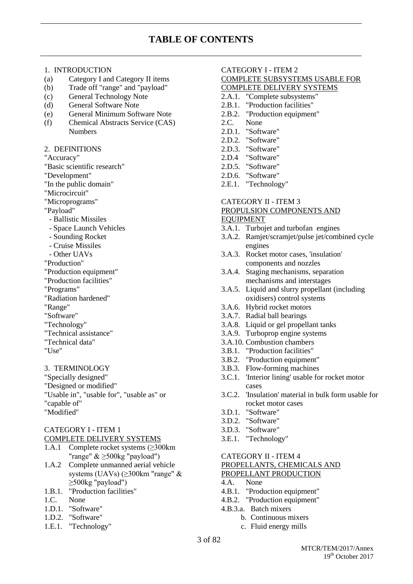- 1. INTRODUCTION
- (a) Category I and Category II items
- (b) Trade off "range" and "payload"
- (c) General Technology Note
- (d) General Software Note
- (e) General Minimum Software Note
- (f) Chemical Abstracts Service (CAS) Numbers

#### 2. DEFINITIONS

"Accuracy"

"Basic scientific research"

- "Development"
- "In the public domain"
- "Microcircuit"
- "Microprograms"
- "Payload"
- Ballistic Missiles
- Space Launch Vehicles
- Sounding Rocket
- Cruise Missiles
- Other UAVs
- "Production"
- "Production equipment"
- "Production facilities"
- "Programs"
- "Radiation hardened"
- "Range"
- "Software"
- "Technology"
- "Technical assistance"
- "Technical data"
- "Use"

3. TERMINOLOGY

- "Specially designed"
- "Designed or modified"
- "Usable in", "usable for", "usable as" or
- "capable of"
- "Modified"

#### CATEGORY I - ITEM 1 COMPLETE DELIVERY SYSTEMS

- 1.A.1 Complete rocket systems (≥300km "range" & ≥500kg "payload")
- 1.A.2 Complete unmanned aerial vehicle systems (UAVs) (≥300km "range" & ≥500kg "payload")
- 1.B.1. "Production facilities"
- 1.C. None
- 1.D.1. "Software"
- 1.D.2. "Software"
- 1.E.1. "Technology"

#### CATEGORY I - ITEM 2

#### COMPLETE SUBSYSTEMS USABLE FOR COMPLETE DELIVERY SYSTEMS

- 2.A.1. "Complete subsystems"
- 2.B.1. "Production facilities"
- 2.B.2. "Production equipment"
- 2.C. None
- 2.D.1. "Software"
- 2.D.2. "Software"
- 2.D.3. "Software"
- 2.D.4 "Software"
- 2.D.5. "Software"
- 2.D.6. "Software"
- 2.E.1. "Technology"

#### CATEGORY II - ITEM 3

#### PROPULSION COMPONENTS AND EQUIPMENT

- 3.A.1. Turbojet and turbofan engines
- 3.A.2. Ramjet/scramjet/pulse jet/combined cycle engines
- 3.A.3. Rocket motor cases, 'insulation' components and nozzles
- 3.A.4. Staging mechanisms, separation mechanisms and interstages
- 3.A.5. Liquid and slurry propellant (including oxidisers) control systems
- 3.A.6. Hybrid rocket motors
- 3.A.7. Radial ball bearings
- 3.A.8. Liquid or gel propellant tanks
- 3.A.9. Turboprop engine systems
- 3.A.10. Combustion chambers
- 3.B.1. "Production facilities"
- 3.B.2. "Production equipment"
- 3.B.3. Flow-forming machines
- 3.C.1. 'Interior lining' usable for rocket motor cases
- 3.C.2. 'Insulation' material in bulk form usable for rocket motor cases
- 3.D.1. "Software"
- 3.D.2. "Software"
- 3.D.3. "Software"
- 3.E.1. "Technology"

#### CATEGORY II - ITEM 4

#### PROPELLANTS, CHEMICALS AND

#### PROPELLANT PRODUCTION

- 4.A. None
- 4.B.1. "Production equipment"
- 4.B.2. "Production equipment"
- 4.B.3.a. Batch mixers
	- b. Continuous mixers
	- c. Fluid energy mills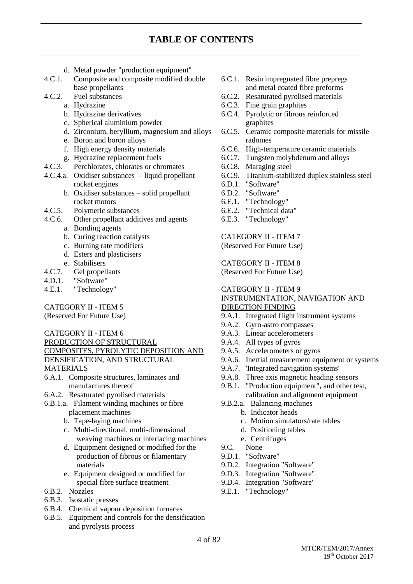## **TABLE OF CONTENTS**

- d. Metal powder "production equipment"
- 4.C.1. Composite and composite modified double base propellants
- 4.C.2. Fuel substances
	- a. Hydrazine
		- b. Hydrazine derivatives
		- c. Spherical aluminium powder
		- d. Zirconium, beryllium, magnesium and alloys
		- e. Boron and boron alloys
		- f. High energy density materials
- g. Hydrazine replacement fuels<br>4.C.3. Perchlorates, chlorates or chr
	- Perchlorates, chlorates or chromates
- 4.C.4.a. Oxidiser substances liquid propellant rocket engines
	- b. Oxidiser substances solid propellant rocket motors
- 4.C.5. Polymeric substances
- 4.C.6. Other propellant additives and agents a. Bonding agents
	- b. Curing reaction catalysts
	- c. Burning rate modifiers
	- d. Esters and plasticisers
	-
- e. Stabilisers<br>4.C.7. Gel propel Gel propellants
- 4.D.1. "Software"
- 4.E.1. "Technology"

#### CATEGORY II - ITEM 5

(Reserved For Future Use)

#### CATEGORY II - ITEM 6 PRODUCTION OF STRUCTURAL COMPOSITES, PYROLYTIC DEPOSITION AND DENSIFICATION, AND STRUCTURAL MATERIALS

- 6.A.1. Composite structures, laminates and manufactures thereof
- 6.A.2. Resaturated pyrolised materials
- 6.B.1.a. Filament winding machines or fibre placement machines
	- b. Tape-laying machines
	- c. Multi-directional, multi-dimensional weaving machines or interlacing machines
	- d. Equipment designed or modified for the production of fibrous or filamentary materials
	- e. Equipment designed or modified for special fibre surface treatment
- 6.B.2. Nozzles
- 6.B.3. Isostatic presses
- 6.B.4. Chemical vapour deposition furnaces
- 6.B.5. Equipment and controls for the densification and pyrolysis process
- 6.C.1. Resin impregnated fibre prepregs and metal coated fibre preforms
- 6.C.2. Resaturated pyrolised materials
- 6.C.3. Fine grain graphites
- 6.C.4. Pyrolytic or fibrous reinforced graphites
- 6.C.5. Ceramic composite materials for missile radomes
- 6.C.6. High-temperature ceramic materials
- 6.C.7. Tungsten molybdenum and alloys
- 6.C.8. Maraging steel
- 6.C.9. Titanium-stabilized duplex stainless steel
- 6.D.1. "Software"
- 6.D.2. "Software"
- 6.E.1. "Technology"
- 6.E.2. "Technical data"
- 6.E.3. "Technology"

CATEGORY II - ITEM 7 (Reserved For Future Use)

CATEGORY II - ITEM 8

(Reserved For Future Use)

#### CATEGORY II - ITEM 9

# INSTRUMENTATION, NAVIGATION AND

#### DIRECTION FINDING

- 9.A.1. Integrated flight instrument systems
- 9.A.2. Gyro-astro compasses
- 9.A.3. Linear accelerometers
- 9.A.4. All types of gyros
- 9.A.5. Accelerometers or gyros
- 9.A.6. Inertial measurement equipment or systems
- 9.A.7. 'Integrated navigation systems'
- 9.A.8. Three axis magnetic heading sensors
- 9.B.1. "Production equipment", and other test, calibration and alignment equipment
- 9.B.2.a. Balancing machines
	- b. Indicator heads
	- c. Motion simulators/rate tables
	- d. Positioning tables
	- e. Centrifuges
- 9.C. None
- 9.D.1. "Software"
- 9.D.2. Integration "Software"
- 9.D.3. Integration "Software"
- 9.D.4. Integration "Software"
- 9.E.1. "Technology"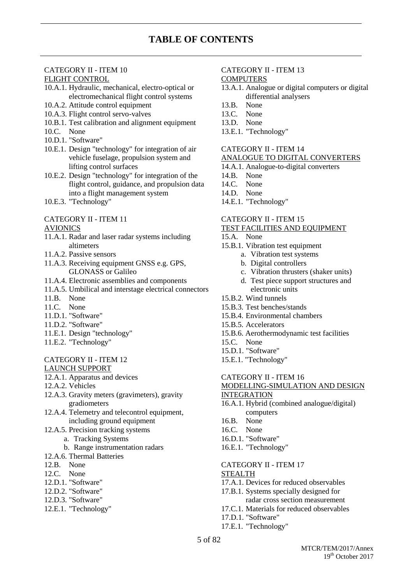#### CATEGORY II - ITEM 10 FLIGHT CONTROL

- 10.A.1. Hydraulic, mechanical, electro-optical or electromechanical flight control systems
- 10.A.2. Attitude control equipment
- 10.A.3. Flight control servo-valves
- 10.B.1. Test calibration and alignment equipment
- 10.C. None
- 10.D.1. "Software"
- 10.E.1. Design "technology" for integration of air vehicle fuselage, propulsion system and lifting control surfaces
- 10.E.2. Design "technology" for integration of the flight control, guidance, and propulsion data into a flight management system
- 10.E.3. "Technology"

#### CATEGORY II - ITEM 11

#### AVIONICS

- 11.A.1. Radar and laser radar systems including altimeters
- 11.A.2. Passive sensors
- 11.A.3. Receiving equipment GNSS e.g. GPS, GLONASS or Galileo
- 11.A.4. Electronic assemblies and components
- 11.A.5. Umbilical and interstage electrical connectors
- 11.B. None
- 11.C. None
- 11.D.1. "Software"
- 11.D.2. "Software"
- 11.E.1. Design "technology"
- 11.E.2. "Technology"

#### CATEGORY II - ITEM 12 LAUNCH SUPPORT

- 12.A.1. Apparatus and devices
- 12.A.2. Vehicles
- 12.A.3. Gravity meters (gravimeters), gravity gradiometers
- 12.A.4. Telemetry and telecontrol equipment, including ground equipment
- 12.A.5. Precision tracking systems
	- a. Tracking Systems
	- b. Range instrumentation radars
- 12.A.6. Thermal Batteries
- 12.B. None
- 12.C. None
- 12.D.1. "Software"
- 12.D.2. "Software"
- 12.D.3. "Software"
- 12.E.1. "Technology"

#### CATEGORY II - ITEM 13

#### **COMPUTERS**

- 13.A.1. Analogue or digital computers or digital differential analysers
- 13.B. None
- 13.C. None
- 13.D. None
- 13.E.1. "Technology"

#### CATEGORY II - ITEM 14

#### ANALOGUE TO DIGITAL CONVERTERS

- 14.A.1. Analogue-to-digital converters
- 14.B. None
- 14.C. None
- 14.D. None
- 14.E.1. "Technology"

#### CATEGORY II - ITEM 15 TEST FACILITIES AND EQUIPMENT

- 15.A. None
- 15.B.1. Vibration test equipment
	- a. Vibration test systems
	- b. Digital controllers
	- c. Vibration thrusters (shaker units)
	- d. Test piece support structures and electronic units
- 15.B.2. Wind tunnels
- 15.B.3. Test benches/stands
- 15.B.4. Environmental chambers
- 15.B.5. Accelerators
- 15.B.6. Aerothermodynamic test facilities
- 15.C. None
- 15.D.1. "Software"
- 15.E.1. "Technology"

#### CATEGORY II - ITEM 16

#### MODELLING-SIMULATION AND DESIGN INTEGRATION

- 16.A.1. Hybrid (combined analogue/digital) computers
- 16.B. None
- 16.C. None
- 16.D.1. "Software"
- 16.E.1. "Technology"

#### CATEGORY II - ITEM 17

#### STEALTH

- 17.A.1. Devices for reduced observables
- 17.B.1. Systems specially designed for
- radar cross section measurement
- 17.C.1. Materials for reduced observables
- 17.D.1. "Software"
- 17.E.1. "Technology"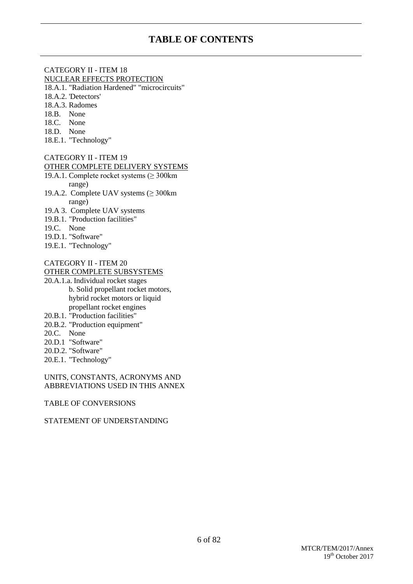## **TABLE OF CONTENTS**

CATEGORY II - ITEM 18 NUCLEAR EFFECTS PROTECTION

- 18.A.1. "Radiation Hardened" "microcircuits"
- 18.A.2. 'Detectors'
- 18.A.3. Radomes
- 18.B. None
- 18.C. None
- 18.D. None
- 18.E.1. "Technology"

#### CATEGORY II - ITEM 19

#### OTHER COMPLETE DELIVERY SYSTEMS

- 19.A.1. Complete rocket systems (≥ 300km range)
- 19.A.2. Complete UAV systems (≥ 300km range)
- 19.A 3. Complete UAV systems
- 19.B.1. "Production facilities"
- 19.C. None
- 19.D.1. "Software"
- 19.E.1. "Technology"

#### CATEGORY II - ITEM 20

#### OTHER COMPLETE SUBSYSTEMS

- 20.A.1.a. Individual rocket stages b. Solid propellant rocket motors, hybrid rocket motors or liquid propellant rocket engines
- 20.B.1. "Production facilities"
- 20.B.2. "Production equipment"
- 20.C. None
- 20.D.1 "Software"
- 20.D.2. "Software"
- 20.E.1. "Technology"

#### UNITS, CONSTANTS, ACRONYMS AND ABBREVIATIONS USED IN THIS ANNEX

#### TABLE OF CONVERSIONS

#### STATEMENT OF UNDERSTANDING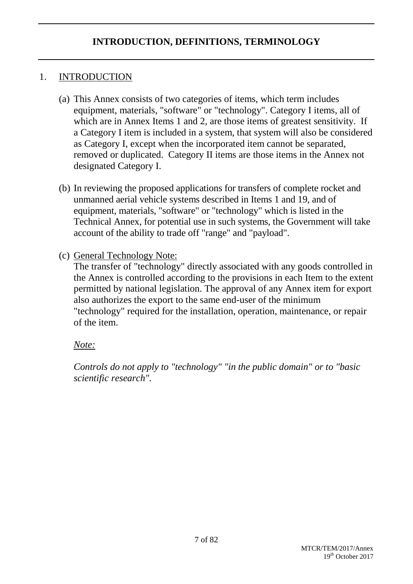# 1. INTRODUCTION

- (a) This Annex consists of two categories of items, which term includes equipment, materials, "software" or "technology". Category I items, all of which are in Annex Items 1 and 2, are those items of greatest sensitivity. If a Category I item is included in a system, that system will also be considered as Category I, except when the incorporated item cannot be separated, removed or duplicated. Category II items are those items in the Annex not designated Category I.
- (b) In reviewing the proposed applications for transfers of complete rocket and unmanned aerial vehicle systems described in Items 1 and 19, and of equipment, materials, "software" or "technology" which is listed in the Technical Annex, for potential use in such systems, the Government will take account of the ability to trade off "range" and "payload".
- (c) General Technology Note:

The transfer of "technology" directly associated with any goods controlled in the Annex is controlled according to the provisions in each Item to the extent permitted by national legislation. The approval of any Annex item for export also authorizes the export to the same end-user of the minimum "technology" required for the installation, operation, maintenance, or repair of the item.

*Note:*

*Controls do not apply to "technology" "in the public domain" or to "basic scientific research".*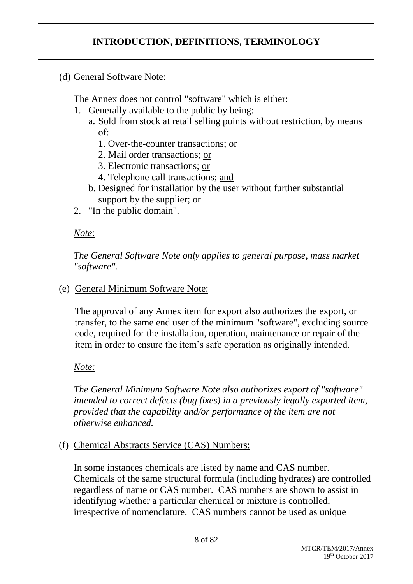(d) General Software Note:

The Annex does not control "software" which is either:

- 1. Generally available to the public by being:
	- a. Sold from stock at retail selling points without restriction, by means of:
		- 1. Over-the-counter transactions; or
		- 2. Mail order transactions; or
		- 3. Electronic transactions; or
		- 4. Telephone call transactions; and
	- b. Designed for installation by the user without further substantial support by the supplier; or
- 2. "In the public domain".

## *Note*:

*The General Software Note only applies to general purpose, mass market "software".*

(e) General Minimum Software Note:

The approval of any Annex item for export also authorizes the export, or transfer, to the same end user of the minimum "software", excluding source code, required for the installation, operation, maintenance or repair of the item in order to ensure the item's safe operation as originally intended.

## *Note:*

*The General Minimum Software Note also authorizes export of "software" intended to correct defects (bug fixes) in a previously legally exported item, provided that the capability and/or performance of the item are not otherwise enhanced.*

(f) Chemical Abstracts Service (CAS) Numbers:

In some instances chemicals are listed by name and CAS number. Chemicals of the same structural formula (including hydrates) are controlled regardless of name or CAS number. CAS numbers are shown to assist in identifying whether a particular chemical or mixture is controlled, irrespective of nomenclature. CAS numbers cannot be used as unique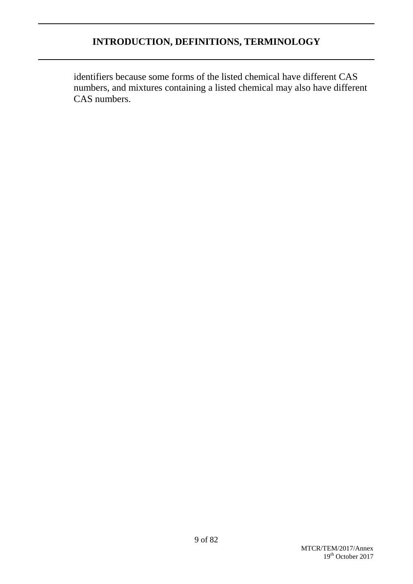identifiers because some forms of the listed chemical have different CAS numbers, and mixtures containing a listed chemical may also have different CAS numbers.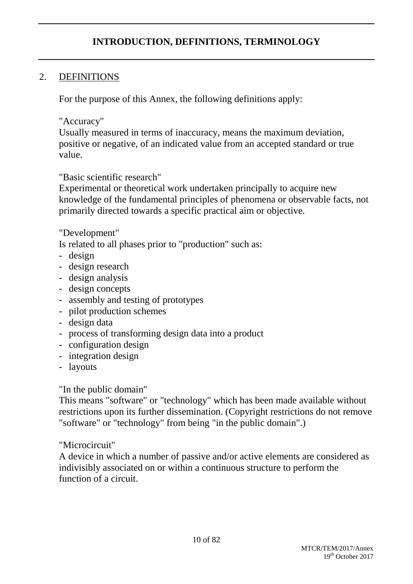## 2. DEFINITIONS

For the purpose of this Annex, the following definitions apply:

#### "Accuracy"

Usually measured in terms of inaccuracy, means the maximum deviation, positive or negative, of an indicated value from an accepted standard or true value.

#### "Basic scientific research"

Experimental or theoretical work undertaken principally to acquire new knowledge of the fundamental principles of phenomena or observable facts, not primarily directed towards a specific practical aim or objective.

#### "Development"

Is related to all phases prior to "production" such as:

- design
- design research
- design analysis
- design concepts
- assembly and testing of prototypes
- pilot production schemes
- design data
- process of transforming design data into a product
- configuration design
- integration design
- layouts

#### "In the public domain"

This means "software" or "technology" which has been made available without restrictions upon its further dissemination. (Copyright restrictions do not remove "software" or "technology" from being "in the public domain".)

## "Microcircuit"

A device in which a number of passive and/or active elements are considered as indivisibly associated on or within a continuous structure to perform the function of a circuit.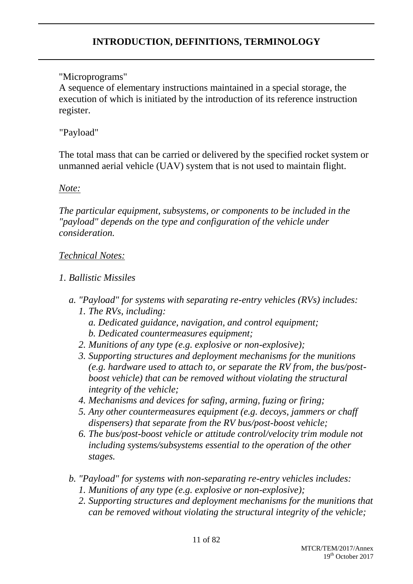## "Microprograms"

A sequence of elementary instructions maintained in a special storage, the execution of which is initiated by the introduction of its reference instruction register.

## "Payload"

The total mass that can be carried or delivered by the specified rocket system or unmanned aerial vehicle (UAV) system that is not used to maintain flight.

## *Note:*

*The particular equipment, subsystems, or components to be included in the "payload" depends on the type and configuration of the vehicle under consideration.*

## *Technical Notes:*

## *1. Ballistic Missiles*

- *a. "Payload" for systems with separating re-entry vehicles (RVs) includes: 1. The RVs, including:*
	- *a. Dedicated guidance, navigation, and control equipment;*
	- *b. Dedicated countermeasures equipment;*
	- *2. Munitions of any type (e.g. explosive or non-explosive);*
	- *3. Supporting structures and deployment mechanisms for the munitions (e.g. hardware used to attach to, or separate the RV from, the bus/postboost vehicle) that can be removed without violating the structural integrity of the vehicle;*
	- *4. Mechanisms and devices for safing, arming, fuzing or firing;*
	- *5. Any other countermeasures equipment (e.g. decoys, jammers or chaff dispensers) that separate from the RV bus/post-boost vehicle;*
	- *6. The bus/post-boost vehicle or attitude control/velocity trim module not including systems/subsystems essential to the operation of the other stages.*
- *b. "Payload" for systems with non-separating re-entry vehicles includes: 1. Munitions of any type (e.g. explosive or non-explosive);*
	- *2. Supporting structures and deployment mechanisms for the munitions that can be removed without violating the structural integrity of the vehicle;*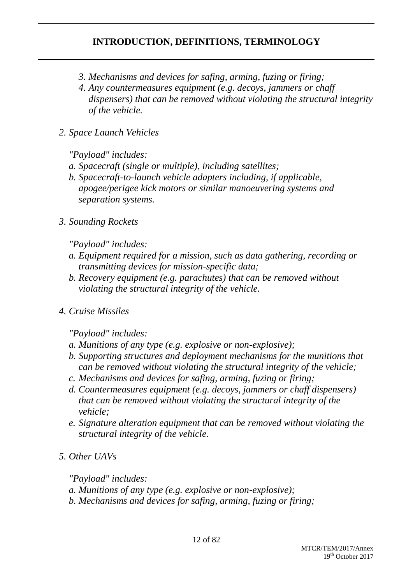- *3. Mechanisms and devices for safing, arming, fuzing or firing;*
- *4. Any countermeasures equipment (e.g. decoys, jammers or chaff dispensers) that can be removed without violating the structural integrity of the vehicle.*
- *2. Space Launch Vehicles*

*"Payload" includes:*

- *a. Spacecraft (single or multiple), including satellites;*
- *b. Spacecraft-to-launch vehicle adapters including, if applicable, apogee/perigee kick motors or similar manoeuvering systems and separation systems.*
- *3. Sounding Rockets*

*"Payload" includes:*

- *a. Equipment required for a mission, such as data gathering, recording or transmitting devices for mission-specific data;*
- *b. Recovery equipment (e.g. parachutes) that can be removed without violating the structural integrity of the vehicle.*
- *4. Cruise Missiles*

*"Payload" includes:*

- *a. Munitions of any type (e.g. explosive or non-explosive);*
- *b. Supporting structures and deployment mechanisms for the munitions that can be removed without violating the structural integrity of the vehicle;*
- *c. Mechanisms and devices for safing, arming, fuzing or firing;*
- *d. Countermeasures equipment (e.g. decoys, jammers or chaff dispensers) that can be removed without violating the structural integrity of the vehicle;*
- *e. Signature alteration equipment that can be removed without violating the structural integrity of the vehicle.*
- *5. Other UAVs*

*"Payload" includes:*

*a. Munitions of any type (e.g. explosive or non-explosive);*

*b. Mechanisms and devices for safing, arming, fuzing or firing;*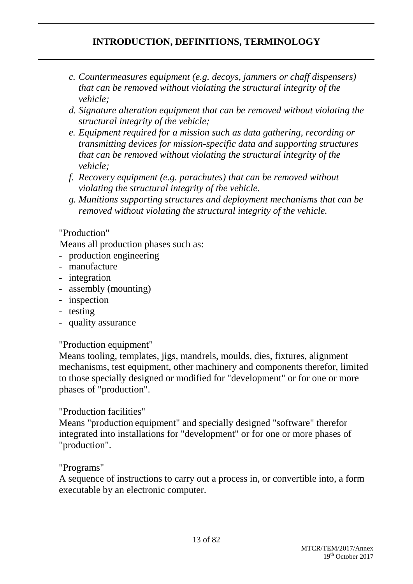- *c. Countermeasures equipment (e.g. decoys, jammers or chaff dispensers) that can be removed without violating the structural integrity of the vehicle;*
- *d. Signature alteration equipment that can be removed without violating the structural integrity of the vehicle;*
- *e. Equipment required for a mission such as data gathering, recording or transmitting devices for mission-specific data and supporting structures that can be removed without violating the structural integrity of the vehicle;*
- *f. Recovery equipment (e.g. parachutes) that can be removed without violating the structural integrity of the vehicle.*
- *g. Munitions supporting structures and deployment mechanisms that can be removed without violating the structural integrity of the vehicle.*

## "Production"

Means all production phases such as:

- production engineering
- manufacture
- integration
- assembly (mounting)
- inspection
- testing
- quality assurance

## "Production equipment"

Means tooling, templates, jigs, mandrels, moulds, dies, fixtures, alignment mechanisms, test equipment, other machinery and components therefor, limited to those specially designed or modified for "development" or for one or more phases of "production".

## "Production facilities"

Means "production equipment" and specially designed "software" therefor integrated into installations for "development" or for one or more phases of "production".

## "Programs"

A sequence of instructions to carry out a process in, or convertible into, a form executable by an electronic computer.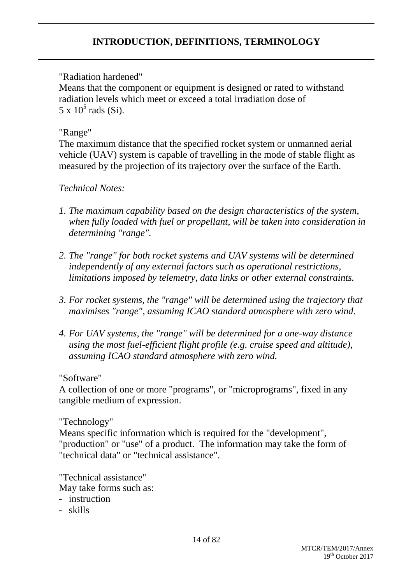"Radiation hardened"

Means that the component or equipment is designed or rated to withstand radiation levels which meet or exceed a total irradiation dose of  $5 \times 10^5$  rads (Si).

# "Range"

The maximum distance that the specified rocket system or unmanned aerial vehicle (UAV) system is capable of travelling in the mode of stable flight as measured by the projection of its trajectory over the surface of the Earth.

# *Technical Notes:*

- *1. The maximum capability based on the design characteristics of the system, when fully loaded with fuel or propellant, will be taken into consideration in determining "range".*
- *2. The "range" for both rocket systems and UAV systems will be determined independently of any external factors such as operational restrictions, limitations imposed by telemetry, data links or other external constraints.*
- *3. For rocket systems, the "range" will be determined using the trajectory that maximises "range", assuming ICAO standard atmosphere with zero wind.*
- *4. For UAV systems, the "range" will be determined for a one-way distance using the most fuel-efficient flight profile (e.g. cruise speed and altitude), assuming ICAO standard atmosphere with zero wind.*

## "Software"

A collection of one or more "programs", or "microprograms", fixed in any tangible medium of expression.

## "Technology"

Means specific information which is required for the "development", "production" or "use" of a product. The information may take the form of "technical data" or "technical assistance".

"Technical assistance" May take forms such as:

- instruction
- skills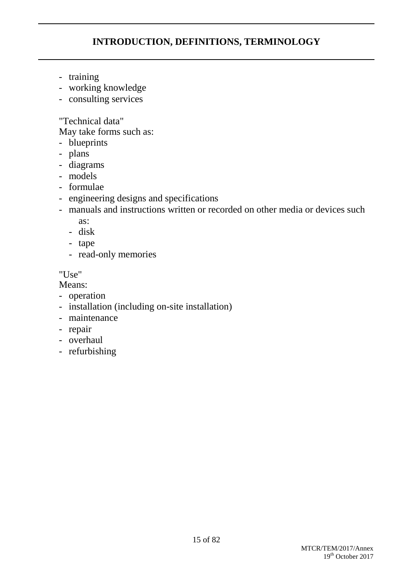- training
- working knowledge
- consulting services

"Technical data"

May take forms such as:

- blueprints
- plans
- diagrams
- models
- formulae
- engineering designs and specifications
- manuals and instructions written or recorded on other media or devices such as:
	- disk
	- tape
	- read-only memories

"Use"

Means:

- operation
- installation (including on-site installation)
- maintenance
- repair
- overhaul
- refurbishing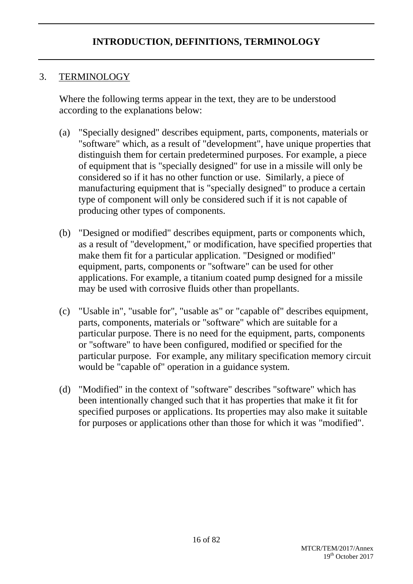## 3. TERMINOLOGY

Where the following terms appear in the text, they are to be understood according to the explanations below:

- (a) "Specially designed" describes equipment, parts, components, materials or "software" which, as a result of "development", have unique properties that distinguish them for certain predetermined purposes. For example, a piece of equipment that is "specially designed" for use in a missile will only be considered so if it has no other function or use. Similarly, a piece of manufacturing equipment that is "specially designed" to produce a certain type of component will only be considered such if it is not capable of producing other types of components.
- (b) "Designed or modified" describes equipment, parts or components which, as a result of "development," or modification, have specified properties that make them fit for a particular application. "Designed or modified" equipment, parts, components or "software" can be used for other applications. For example, a titanium coated pump designed for a missile may be used with corrosive fluids other than propellants.
- (c) "Usable in", "usable for", "usable as" or "capable of" describes equipment, parts, components, materials or "software" which are suitable for a particular purpose. There is no need for the equipment, parts, components or "software" to have been configured, modified or specified for the particular purpose. For example, any military specification memory circuit would be "capable of" operation in a guidance system.
- (d) "Modified" in the context of "software" describes "software" which has been intentionally changed such that it has properties that make it fit for specified purposes or applications. Its properties may also make it suitable for purposes or applications other than those for which it was "modified".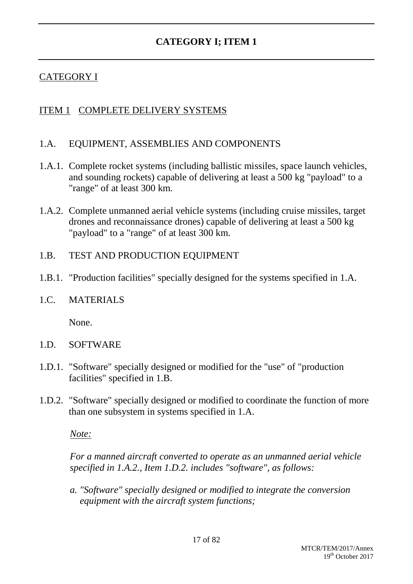## CATEGORY I

## ITEM 1 COMPLETE DELIVERY SYSTEMS

#### 1.A. EQUIPMENT, ASSEMBLIES AND COMPONENTS

- 1.A.1. Complete rocket systems (including ballistic missiles, space launch vehicles, and sounding rockets) capable of delivering at least a 500 kg "payload" to a "range" of at least 300 km.
- 1.A.2. Complete unmanned aerial vehicle systems (including cruise missiles, target drones and reconnaissance drones) capable of delivering at least a 500 kg "payload" to a "range" of at least 300 km.

#### 1.B. TEST AND PRODUCTION EQUIPMENT

1.B.1. "Production facilities" specially designed for the systems specified in 1.A.

#### 1.C. MATERIALS

None.

- 1.D. SOFTWARE
- 1.D.1. "Software" specially designed or modified for the "use" of "production facilities" specified in 1.B.
- 1.D.2. "Software" specially designed or modified to coordinate the function of more than one subsystem in systems specified in 1.A.

*Note:*

*For a manned aircraft converted to operate as an unmanned aerial vehicle specified in 1.A.2., Item 1.D.2. includes "software", as follows:*

*a. "Software" specially designed or modified to integrate the conversion equipment with the aircraft system functions;*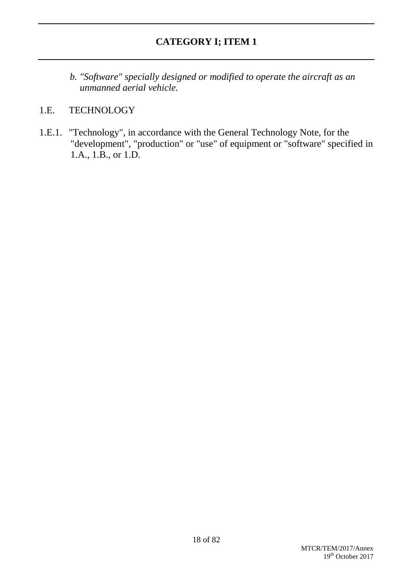*b. "Software" specially designed or modified to operate the aircraft as an unmanned aerial vehicle.*

## 1.E. TECHNOLOGY

1.E.1. "Technology", in accordance with the General Technology Note, for the "development", "production" or "use" of equipment or "software" specified in 1.A., 1.B., or 1.D.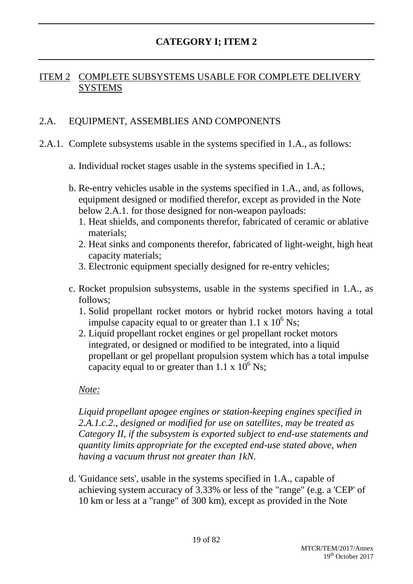## ITEM 2 COMPLETE SUBSYSTEMS USABLE FOR COMPLETE DELIVERY SYSTEMS

## 2.A. EQUIPMENT, ASSEMBLIES AND COMPONENTS

- 2.A.1. Complete subsystems usable in the systems specified in 1.A., as follows:
	- a. Individual rocket stages usable in the systems specified in 1.A.;
	- b. Re-entry vehicles usable in the systems specified in 1.A., and, as follows, equipment designed or modified therefor, except as provided in the Note below 2.A.1. for those designed for non-weapon payloads:
		- 1. Heat shields, and components therefor, fabricated of ceramic or ablative materials;
		- 2. Heat sinks and components therefor, fabricated of light-weight, high heat capacity materials;
		- 3. Electronic equipment specially designed for re-entry vehicles;
	- c. Rocket propulsion subsystems, usable in the systems specified in 1.A., as follows;
		- 1. Solid propellant rocket motors or hybrid rocket motors having a total impulse capacity equal to or greater than  $1.1 \times 10^6$  Ns;
		- 2. Liquid propellant rocket engines or gel propellant rocket motors integrated, or designed or modified to be integrated, into a liquid propellant or gel propellant propulsion system which has a total impulse capacity equal to or greater than 1.1 x  $10^6$  Ns;

## *Note:*

*Liquid propellant apogee engines or station-keeping engines specified in 2.A.1.c.2., designed or modified for use on satellites, may be treated as Category II, if the subsystem is exported subject to end-use statements and quantity limits appropriate for the excepted end-use stated above, when having a vacuum thrust not greater than 1kN.*

d. 'Guidance sets', usable in the systems specified in 1.A., capable of achieving system accuracy of 3.33% or less of the "range" (e.g. a 'CEP' of 10 km or less at a "range" of 300 km), except as provided in the Note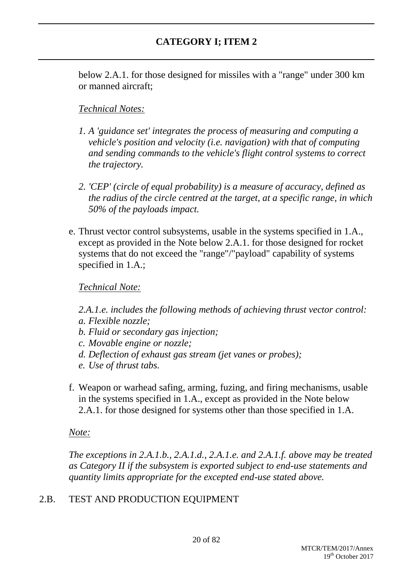below 2.A.1. for those designed for missiles with a "range" under 300 km or manned aircraft;

# *Technical Notes:*

- *1. A 'guidance set' integrates the process of measuring and computing a vehicle's position and velocity (i.e. navigation) with that of computing and sending commands to the vehicle's flight control systems to correct the trajectory.*
- *2. 'CEP' (circle of equal probability) is a measure of accuracy, defined as the radius of the circle centred at the target, at a specific range, in which 50% of the payloads impact.*
- e. Thrust vector control subsystems, usable in the systems specified in 1.A., except as provided in the Note below 2.A.1. for those designed for rocket systems that do not exceed the "range"/"payload" capability of systems specified in 1.A.;

*Technical Note:*

- *2.A.1.e. includes the following methods of achieving thrust vector control:*
- *a. Flexible nozzle;*
- *b. Fluid or secondary gas injection;*
- *c. Movable engine or nozzle;*
- *d. Deflection of exhaust gas stream (jet vanes or probes);*
- *e. Use of thrust tabs.*
- f. Weapon or warhead safing, arming, fuzing, and firing mechanisms, usable in the systems specified in 1.A., except as provided in the Note below 2.A.1. for those designed for systems other than those specified in 1.A.

## *Note:*

*The exceptions in 2.A.1.b., 2.A.1.d., 2.A.1.e. and 2.A.1.f. above may be treated as Category II if the subsystem is exported subject to end-use statements and quantity limits appropriate for the excepted end-use stated above.*

# 2.B. TEST AND PRODUCTION EQUIPMENT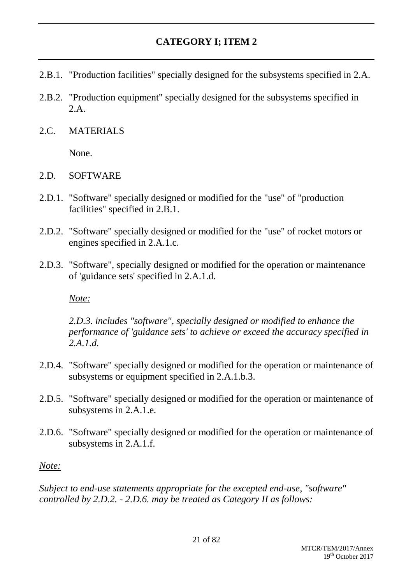- 2.B.1. "Production facilities" specially designed for the subsystems specified in 2.A.
- 2.B.2. "Production equipment" specially designed for the subsystems specified in 2.A.
- 2.C. MATERIALS

None.

- 2.D. SOFTWARE
- 2.D.1. "Software" specially designed or modified for the "use" of "production facilities" specified in 2.B.1.
- 2.D.2. "Software" specially designed or modified for the "use" of rocket motors or engines specified in 2.A.1.c.
- 2.D.3. "Software", specially designed or modified for the operation or maintenance of 'guidance sets' specified in 2.A.1.d.

*Note:*

*2.D.3. includes "software", specially designed or modified to enhance the performance of 'guidance sets' to achieve or exceed the accuracy specified in 2.A.1.d.*

- 2.D.4. "Software" specially designed or modified for the operation or maintenance of subsystems or equipment specified in 2.A.1.b.3.
- 2.D.5. "Software" specially designed or modified for the operation or maintenance of subsystems in 2.A.1.e.
- 2.D.6. "Software" specially designed or modified for the operation or maintenance of subsystems in 2.A.1.f.

## *Note:*

*Subject to end-use statements appropriate for the excepted end-use, "software" controlled by 2.D.2. - 2.D.6. may be treated as Category II as follows:*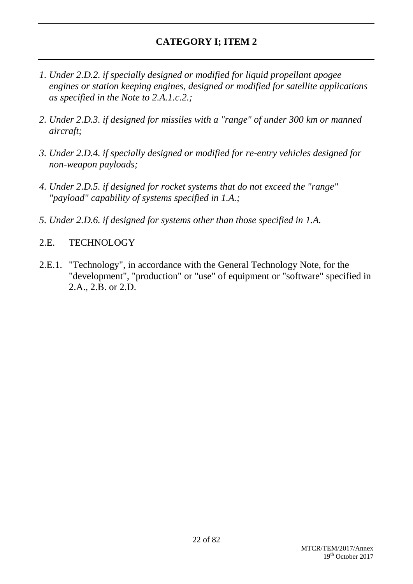- *1. Under 2.D.2. if specially designed or modified for liquid propellant apogee engines or station keeping engines, designed or modified for satellite applications as specified in the Note to 2.A.1.c.2.;*
- *2. Under 2.D.3. if designed for missiles with a "range" of under 300 km or manned aircraft;*
- *3. Under 2.D.4. if specially designed or modified for re-entry vehicles designed for non-weapon payloads;*
- *4. Under 2.D.5. if designed for rocket systems that do not exceed the "range" "payload" capability of systems specified in 1.A.;*
- *5. Under 2.D.6. if designed for systems other than those specified in 1.A.*
- 2.E. TECHNOLOGY
- 2.E.1. "Technology", in accordance with the General Technology Note, for the "development", "production" or "use" of equipment or "software" specified in 2.A., 2.B. or 2.D.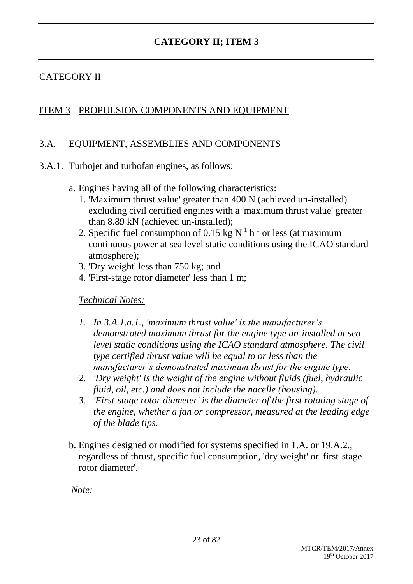## CATEGORY II

## ITEM 3 PROPULSION COMPONENTS AND EQUIPMENT

#### 3.A. EQUIPMENT, ASSEMBLIES AND COMPONENTS

#### 3.A.1. Turbojet and turbofan engines, as follows:

- a. Engines having all of the following characteristics:
	- 1. 'Maximum thrust value' greater than 400 N (achieved un-installed) excluding civil certified engines with a 'maximum thrust value' greater than 8.89 kN (achieved un-installed);
	- 2. Specific fuel consumption of 0.15 kg  $N^{-1}$  h<sup>-1</sup> or less (at maximum continuous power at sea level static conditions using the ICAO standard atmosphere);
	- 3. 'Dry weight' less than 750 kg; and
	- 4. 'First-stage rotor diameter' less than 1 m;

#### *Technical Notes:*

- *1. In 3.A.1.a.1., 'maximum thrust value' is the manufacturer's demonstrated maximum thrust for the engine type un-installed at sea level static conditions using the ICAO standard atmosphere. The civil type certified thrust value will be equal to or less than the manufacturer's demonstrated maximum thrust for the engine type.*
- *2. 'Dry weight' is the weight of the engine without fluids (fuel, hydraulic fluid, oil, etc.) and does not include the nacelle (housing).*
- *3. 'First-stage rotor diameter' is the diameter of the first rotating stage of the engine, whether a fan or compressor, measured at the leading edge of the blade tips.*
- b. Engines designed or modified for systems specified in 1.A. or 19.A.2., regardless of thrust, specific fuel consumption, 'dry weight' or 'first-stage rotor diameter'.

*Note:*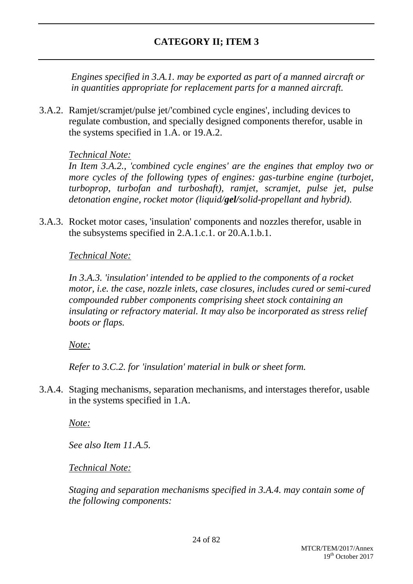*Engines specified in 3.A.1. may be exported as part of a manned aircraft or in quantities appropriate for replacement parts for a manned aircraft.*

3.A.2. Ramjet/scramjet/pulse jet/'combined cycle engines', including devices to regulate combustion, and specially designed components therefor, usable in the systems specified in 1.A. or 19.A.2.

## *Technical Note:*

*In Item 3.A.2., 'combined cycle engines' are the engines that employ two or more cycles of the following types of engines: gas-turbine engine (turbojet, turboprop, turbofan and turboshaft), ramjet, scramjet, pulse jet, pulse detonation engine, rocket motor (liquid/gel/solid-propellant and hybrid).*

3.A.3. Rocket motor cases, 'insulation' components and nozzles therefor, usable in the subsystems specified in 2.A.1.c.1. or 20.A.1.b.1.

## *Technical Note:*

*In 3.A.3. 'insulation' intended to be applied to the components of a rocket motor, i.e. the case, nozzle inlets, case closures, includes cured or semi-cured compounded rubber components comprising sheet stock containing an insulating or refractory material. It may also be incorporated as stress relief boots or flaps.*

## *Note:*

*Refer to 3.C.2. for 'insulation' material in bulk or sheet form.*

3.A.4. Staging mechanisms, separation mechanisms, and interstages therefor, usable in the systems specified in 1.A.

*Note:*

*See also Item 11.A.5.*

*Technical Note:*

*Staging and separation mechanisms specified in 3.A.4. may contain some of the following components:*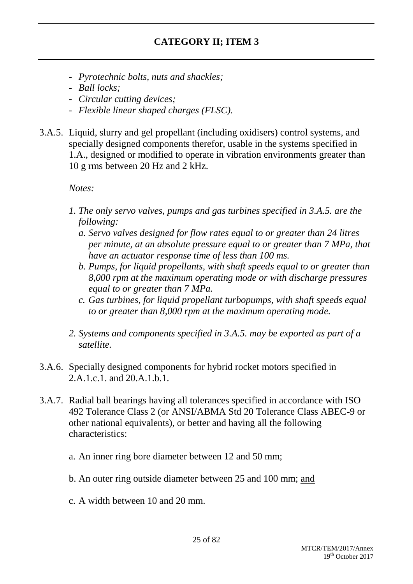- *- Pyrotechnic bolts, nuts and shackles;*
- *- Ball locks;*
- *- Circular cutting devices;*
- *- Flexible linear shaped charges (FLSC).*
- 3.A.5. Liquid, slurry and gel propellant (including oxidisers) control systems, and specially designed components therefor, usable in the systems specified in 1.A., designed or modified to operate in vibration environments greater than 10 g rms between 20 Hz and 2 kHz.

## *Notes:*

- *1. The only servo valves, pumps and gas turbines specified in 3.A.5. are the following:*
	- *a. Servo valves designed for flow rates equal to or greater than 24 litres per minute, at an absolute pressure equal to or greater than 7 MPa, that have an actuator response time of less than 100 ms.*
	- *b. Pumps, for liquid propellants, with shaft speeds equal to or greater than 8,000 rpm at the maximum operating mode or with discharge pressures equal to or greater than 7 MPa.*
	- *c. Gas turbines, for liquid propellant turbopumps, with shaft speeds equal to or greater than 8,000 rpm at the maximum operating mode.*
- *2. Systems and components specified in 3.A.5. may be exported as part of a satellite.*
- 3.A.6. Specially designed components for hybrid rocket motors specified in 2.A.1.c.1. and 20.A.1.b.1.
- 3.A.7. Radial ball bearings having all tolerances specified in accordance with ISO 492 Tolerance Class 2 (or ANSI/ABMA Std 20 Tolerance Class ABEC-9 or other national equivalents), or better and having all the following characteristics:
	- a. An inner ring bore diameter between 12 and 50 mm;
	- b. An outer ring outside diameter between 25 and 100 mm; and
	- c. A width between 10 and 20 mm.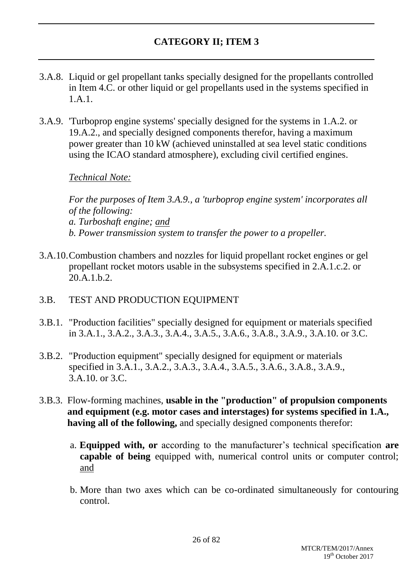- 3.A.8. Liquid or gel propellant tanks specially designed for the propellants controlled in Item 4.C. or other liquid or gel propellants used in the systems specified in 1.A.1.
- 3.A.9. 'Turboprop engine systems' specially designed for the systems in 1.A.2. or 19.A.2., and specially designed components therefor, having a maximum power greater than 10 kW (achieved uninstalled at sea level static conditions using the ICAO standard atmosphere), excluding civil certified engines.

## *Technical Note:*

*For the purposes of Item 3.A.9., a 'turboprop engine system' incorporates all of the following: a. Turboshaft engine; and b. Power transmission system to transfer the power to a propeller.*

- 3.A.10.Combustion chambers and nozzles for liquid propellant rocket engines or gel propellant rocket motors usable in the subsystems specified in 2.A.1.c.2. or 20.A.1.b.2.
- 3.B. TEST AND PRODUCTION EQUIPMENT
- 3.B.1. "Production facilities" specially designed for equipment or materials specified in 3.A.1., 3.A.2., 3.A.3., 3.A.4., 3.A.5., 3.A.6., 3.A.8., 3.A.9., 3.A.10. or 3.C.
- 3.B.2. "Production equipment" specially designed for equipment or materials specified in 3.A.1., 3.A.2., 3.A.3., 3.A.4., 3.A.5., 3.A.6., 3.A.8., 3.A.9., 3.A.10. or 3.C.
- 3.B.3. Flow-forming machines, **usable in the "production" of propulsion components and equipment (e.g. motor cases and interstages) for systems specified in 1.A., having all of the following,** and specially designed components therefor:
	- a. **Equipped with, or** according to the manufacturer's technical specification **are capable of being** equipped with, numerical control units or computer control; and
	- b. More than two axes which can be co-ordinated simultaneously for contouring control.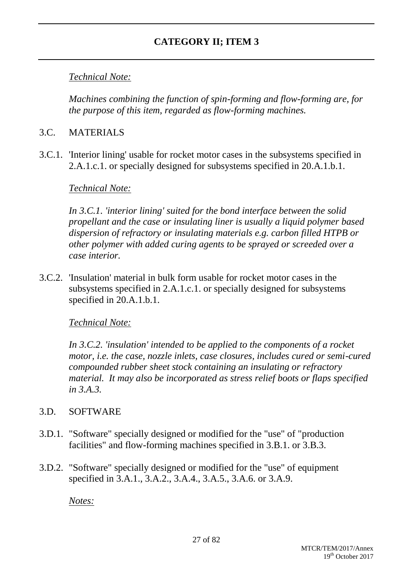# *Technical Note:*

*Machines combining the function of spin-forming and flow-forming are, for the purpose of this item, regarded as flow-forming machines.*

## 3.C. MATERIALS

3.C.1. 'Interior lining' usable for rocket motor cases in the subsystems specified in 2.A.1.c.1. or specially designed for subsystems specified in 20.A.1.b.1.

## *Technical Note:*

*In 3.C.1. 'interior lining' suited for the bond interface between the solid propellant and the case or insulating liner is usually a liquid polymer based dispersion of refractory or insulating materials e.g. carbon filled HTPB or other polymer with added curing agents to be sprayed or screeded over a case interior.*

3.C.2. 'Insulation' material in bulk form usable for rocket motor cases in the subsystems specified in 2.A.1.c.1. or specially designed for subsystems specified in 20.A.1.b.1.

## *Technical Note:*

*In 3.C.2. 'insulation' intended to be applied to the components of a rocket*  motor, *i.e. the case, nozzle inlets, case closures, includes cured or semi-cured compounded rubber sheet stock containing an insulating or refractory material. It may also be incorporated as stress relief boots or flaps specified in 3.A.3.*

## 3.D. SOFTWARE

- 3.D.1. "Software" specially designed or modified for the "use" of "production facilities" and flow-forming machines specified in 3.B.1. or 3.B.3.
- 3.D.2. "Software" specially designed or modified for the "use" of equipment specified in 3.A.1., 3.A.2., 3.A.4., 3.A.5., 3.A.6. or 3.A.9.

*Notes:*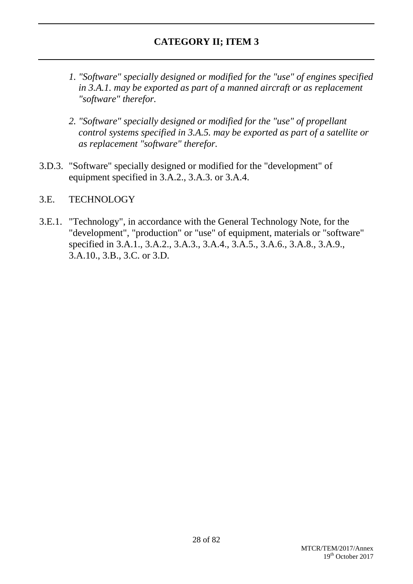- *1. "Software" specially designed or modified for the "use" of engines specified in 3.A.1. may be exported as part of a manned aircraft or as replacement "software" therefor.*
- *2. "Software" specially designed or modified for the "use" of propellant control systems specified in 3.A.5. may be exported as part of a satellite or as replacement "software" therefor.*
- 3.D.3. "Software" specially designed or modified for the "development" of equipment specified in 3.A.2., 3.A.3. or 3.A.4.
- 3.E. TECHNOLOGY
- 3.E.1. "Technology", in accordance with the General Technology Note, for the "development", "production" or "use" of equipment, materials or "software" specified in 3.A.1., 3.A.2., 3.A.3., 3.A.4., 3.A.5., 3.A.6., 3.A.8., 3.A.9., 3.A.10., 3.B., 3.C. or 3.D.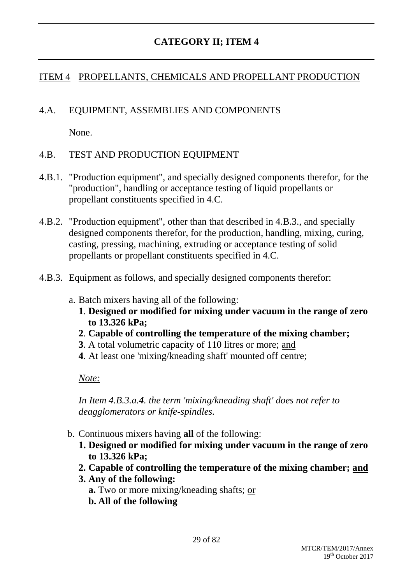## ITEM 4 PROPELLANTS, CHEMICALS AND PROPELLANT PRODUCTION

## 4.A. EQUIPMENT, ASSEMBLIES AND COMPONENTS

None.

#### 4.B. TEST AND PRODUCTION EQUIPMENT

- 4.B.1. "Production equipment", and specially designed components therefor, for the "production", handling or acceptance testing of liquid propellants or propellant constituents specified in 4.C.
- 4.B.2. "Production equipment", other than that described in 4.B.3., and specially designed components therefor, for the production, handling, mixing, curing, casting, pressing, machining, extruding or acceptance testing of solid propellants or propellant constituents specified in 4.C.
- 4.B.3. Equipment as follows, and specially designed components therefor:
	- a. Batch mixers having all of the following:
		- **1**. **Designed or modified for mixing under vacuum in the range of zero to 13.326 kPa;**
		- **2**. **Capable of controlling the temperature of the mixing chamber;**
		- **3**. A total volumetric capacity of 110 litres or more; and
		- **4**. At least one 'mixing/kneading shaft' mounted off centre;

*Note:*

*In Item 4.B.3.a.4. the term 'mixing/kneading shaft' does not refer to deagglomerators or knife-spindles.*

- b. Continuous mixers having **all** of the following:
	- **1. Designed or modified for mixing under vacuum in the range of zero to 13.326 kPa;**
	- **2. Capable of controlling the temperature of the mixing chamber; and**
	- **3. Any of the following:**
		- **a.** Two or more mixing/kneading shafts; or
		- **b. All of the following**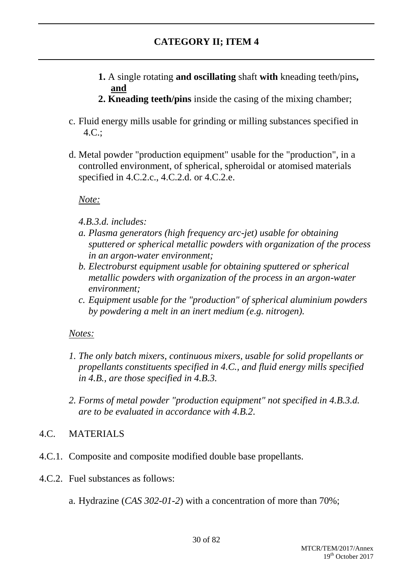- **1.** A single rotating **and oscillating** shaft **with** kneading teeth/pins**, and**
- **2. Kneading teeth/pins** inside the casing of the mixing chamber;
- c. Fluid energy mills usable for grinding or milling substances specified in 4.C.;
- d. Metal powder "production equipment" usable for the "production", in a controlled environment, of spherical, spheroidal or atomised materials specified in 4.C.2.c., 4.C.2.d. or 4.C.2.e.

*Note:*

- *4.B.3.d. includes:*
- *a. Plasma generators (high frequency arc-jet) usable for obtaining sputtered or spherical metallic powders with organization of the process in an argon-water environment;*
- *b. Electroburst equipment usable for obtaining sputtered or spherical metallic powders with organization of the process in an argon-water environment;*
- *c. Equipment usable for the "production" of spherical aluminium powders by powdering a melt in an inert medium (e.g. nitrogen).*

## *Notes:*

- *1. The only batch mixers, continuous mixers, usable for solid propellants or propellants constituents specified in 4.C., and fluid energy mills specified in 4.B., are those specified in 4.B.3.*
- *2. Forms of metal powder "production equipment" not specified in 4.B.3.d. are to be evaluated in accordance with 4.B.2.*

## 4.C. MATERIALS

- 4.C.1. Composite and composite modified double base propellants.
- 4.C.2. Fuel substances as follows:
	- a. Hydrazine (*CAS 302-01-2*) with a concentration of more than 70%;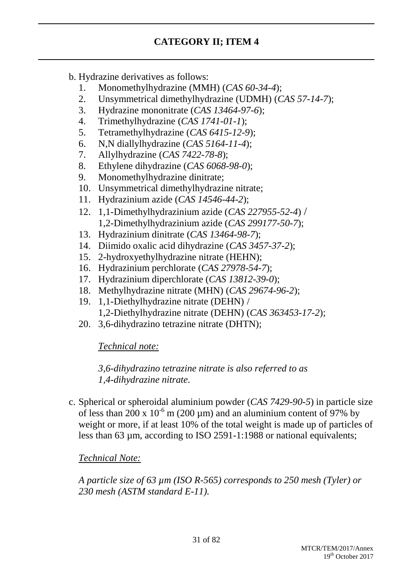b. Hydrazine derivatives as follows:

- 1. Monomethylhydrazine (MMH) (*CAS 60-34-4*);
- 2. Unsymmetrical dimethylhydrazine (UDMH) (*CAS 57-14-7*);
- 3. Hydrazine mononitrate (*CAS 13464-97-6*);
- 4. Trimethylhydrazine (*CAS 1741-01-1*);
- 5. Tetramethylhydrazine (*CAS 6415-12-9*);
- 6. N,N diallylhydrazine (*CAS 5164-11-4*);
- 7. Allylhydrazine (*CAS 7422-78-8*);
- 8. Ethylene dihydrazine (*CAS 6068-98-0*);
- 9. Monomethylhydrazine dinitrate;
- 10. Unsymmetrical dimethylhydrazine nitrate;
- 11. Hydrazinium azide (*CAS 14546-44-2*);
- 12. 1,1-Dimethylhydrazinium azide (*CAS 227955-52-4*) / 1,2-Dimethylhydrazinium azide (*CAS 299177-50-7*);
- 13. Hydrazinium dinitrate (*CAS 13464-98-7*);
- 14. Diimido oxalic acid dihydrazine (*CAS 3457-37-2*);
- 15. 2-hydroxyethylhydrazine nitrate (HEHN);
- 16. Hydrazinium perchlorate (*CAS 27978-54-7*);
- 17. Hydrazinium diperchlorate (*CAS 13812-39-0*);
- 18. Methylhydrazine nitrate (MHN) (*CAS 29674-96-2*);
- 19. 1,1-Diethylhydrazine nitrate (DEHN) /
	- 1,2-Diethylhydrazine nitrate (DEHN) (*CAS 363453-17-2*);
- 20. 3,6-dihydrazino tetrazine nitrate (DHTN);

# *Technical note:*

*3,6-dihydrazino tetrazine nitrate is also referred to as 1,4-dihydrazine nitrate.*

c. Spherical or spheroidal aluminium powder (*CAS 7429-90-5*) in particle size of less than  $200 \times 10^{-6}$  m (200 µm) and an aluminium content of 97% by weight or more, if at least 10% of the total weight is made up of particles of less than 63 µm, according to ISO 2591-1:1988 or national equivalents;

# *Technical Note:*

*A particle size of 63 µm (ISO R-565) corresponds to 250 mesh (Tyler) or 230 mesh (ASTM standard E-11).*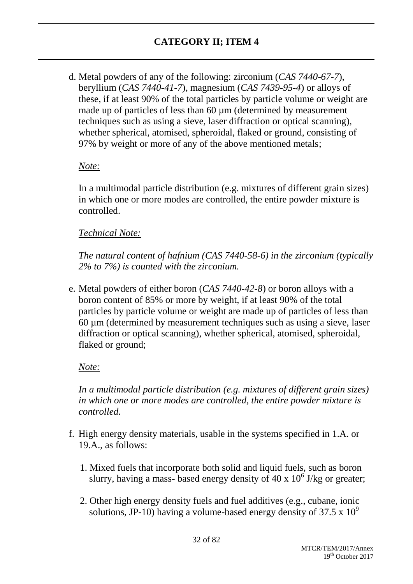d. Metal powders of any of the following: zirconium (*CAS 7440-67-7*), beryllium (*CAS 7440-41-7*), magnesium (*CAS 7439-95-4*) or alloys of these, if at least 90% of the total particles by particle volume or weight are made up of particles of less than 60  $\mu$ m (determined by measurement techniques such as using a sieve, laser diffraction or optical scanning), whether spherical, atomised, spheroidal, flaked or ground, consisting of 97% by weight or more of any of the above mentioned metals;

## *Note:*

In a multimodal particle distribution (e.g. mixtures of different grain sizes) in which one or more modes are controlled, the entire powder mixture is controlled.

## *Technical Note:*

*The natural content of hafnium (CAS 7440-58-6) in the zirconium (typically 2% to 7%) is counted with the zirconium.*

e. Metal powders of either boron (*CAS 7440-42-8*) or boron alloys with a boron content of 85% or more by weight, if at least 90% of the total particles by particle volume or weight are made up of particles of less than 60 µm (determined by measurement techniques such as using a sieve, laser diffraction or optical scanning), whether spherical, atomised, spheroidal, flaked or ground;

## *Note:*

*In a multimodal particle distribution (e.g. mixtures of different grain sizes) in which one or more modes are controlled, the entire powder mixture is controlled.*

- f. High energy density materials, usable in the systems specified in 1.A. or 19.A., as follows:
	- 1. Mixed fuels that incorporate both solid and liquid fuels, such as boron slurry, having a mass-based energy density of 40 x  $10^6$  J/kg or greater;
	- 2. Other high energy density fuels and fuel additives (e.g., cubane, ionic solutions, JP-10) having a volume-based energy density of  $37.5 \times 10^9$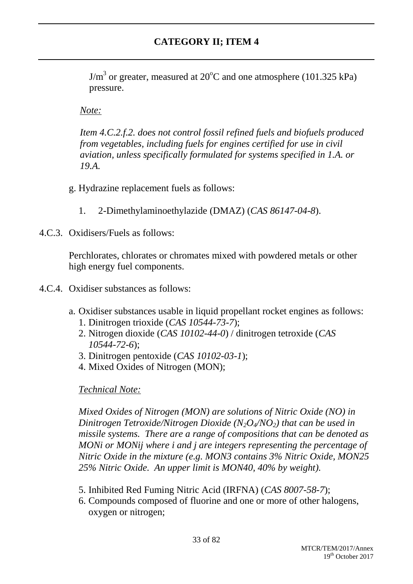J/m<sup>3</sup> or greater, measured at  $20^{\circ}$ C and one atmosphere (101.325 kPa) pressure.

## *Note:*

*Item 4.C.2.f.2. does not control fossil refined fuels and biofuels produced from vegetables, including fuels for engines certified for use in civil aviation, unless specifically formulated for systems specified in 1.A. or 19.A.*

- g. Hydrazine replacement fuels as follows:
	- 1. 2-Dimethylaminoethylazide (DMAZ) (*CAS 86147-04-8*).
- 4.C.3. Oxidisers/Fuels as follows:

Perchlorates, chlorates or chromates mixed with powdered metals or other high energy fuel components.

- 4.C.4. Oxidiser substances as follows:
	- a. Oxidiser substances usable in liquid propellant rocket engines as follows:
		- 1. Dinitrogen trioxide (*CAS 10544-73-7*);
		- 2. Nitrogen dioxide (*CAS 10102-44-0*) / dinitrogen tetroxide (*CAS 10544-72-6*);
		- 3. Dinitrogen pentoxide (*CAS 10102-03-1*);
		- 4. Mixed Oxides of Nitrogen (MON);

*Technical Note:*

*Mixed Oxides of Nitrogen (MON) are solutions of Nitric Oxide (NO) in Dinitrogen Tetroxide/Nitrogen Dioxide (N2O4/NO2) that can be used in missile systems. There are a range of compositions that can be denoted as MONi or MONij where i and j are integers representing the percentage of Nitric Oxide in the mixture (e.g. MON3 contains 3% Nitric Oxide, MON25 25% Nitric Oxide. An upper limit is MON40, 40% by weight).*

- 5. Inhibited Red Fuming Nitric Acid (IRFNA) (*CAS 8007-58-7*);
- 6. Compounds composed of fluorine and one or more of other halogens, oxygen or nitrogen;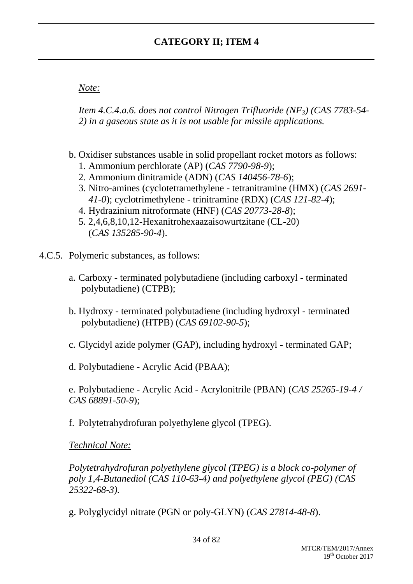## *Note:*

*Item 4.C.4.a.6. does not control Nitrogen Trifluoride (NF3) (CAS 7783-54- 2) in a gaseous state as it is not usable for missile applications.*

- b. Oxidiser substances usable in solid propellant rocket motors as follows:
	- 1. Ammonium perchlorate (AP) (*CAS 7790-98-9*);
	- 2. Ammonium dinitramide (ADN) (*CAS 140456-78-6*);
	- 3. Nitro-amines (cyclotetramethylene tetranitramine (HMX) (*CAS 2691- 41-0*); cyclotrimethylene - trinitramine (RDX) (*CAS 121-82-4*);
	- 4. Hydrazinium nitroformate (HNF) (*CAS 20773-28-8*);
	- 5. 2,4,6,8,10,12-Hexanitrohexaazaisowurtzitane (CL-20) (*CAS 135285-90-4*).
- 4.C.5. Polymeric substances, as follows:
	- a. Carboxy terminated polybutadiene (including carboxyl terminated polybutadiene) (CTPB);
	- b. Hydroxy terminated polybutadiene (including hydroxyl terminated polybutadiene) (HTPB) (*CAS 69102-90-5*);
	- c. Glycidyl azide polymer (GAP), including hydroxyl terminated GAP;
	- d. Polybutadiene Acrylic Acid (PBAA);

e. Polybutadiene - Acrylic Acid - Acrylonitrile (PBAN) (*CAS 25265-19-4 / CAS 68891-50-9*);

f. Polytetrahydrofuran polyethylene glycol (TPEG).

*Technical Note:*

*Polytetrahydrofuran polyethylene glycol (TPEG) is a block co-polymer of poly 1,4-Butanediol (CAS 110-63-4) and polyethylene glycol (PEG) (CAS 25322-68-3).*

g. Polyglycidyl nitrate (PGN or poly-GLYN) (*CAS 27814-48-8*).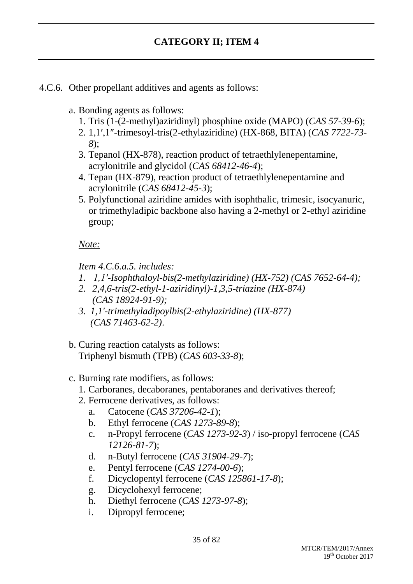4.C.6. Other propellant additives and agents as follows:

- a. Bonding agents as follows:
	- 1. Tris (1-(2-methyl)aziridinyl) phosphine oxide (MAPO) (*CAS 57-39-6*);
	- 2. 1,1′,1″-trimesoyl-tris(2-ethylaziridine) (HX-868, BITA) (*CAS 7722-73- 8*);
	- 3. Tepanol (HX-878), reaction product of tetraethlylenepentamine, acrylonitrile and glycidol (*CAS 68412-46-4*);
	- 4. Tepan (HX-879), reaction product of tetraethlylenepentamine and acrylonitrile (*CAS 68412-45-3*);
	- 5. Polyfunctional aziridine amides with isophthalic, trimesic, isocyanuric, or trimethyladipic backbone also having a 2-methyl or 2-ethyl aziridine group;

*Note:*

*Item 4.C.6.a.5. includes:*

- *1. 1,1′-Isophthaloyl-bis(2-methylaziridine) (HX-752) (CAS 7652-64-4);*
- *2. 2,4,6-tris(2-ethyl-1-aziridinyl)-1,3,5-triazine (HX-874) (CAS 18924-91-9);*
- *3. 1,1'-trimethyladipoylbis(2-ethylaziridine) (HX-877) (CAS 71463-62-2)*.
- b. Curing reaction catalysts as follows: Triphenyl bismuth (TPB) (*CAS 603-33-8*);
- c. Burning rate modifiers, as follows:
	- 1. Carboranes, decaboranes, pentaboranes and derivatives thereof;
	- 2. Ferrocene derivatives, as follows:
		- a. Catocene (*CAS 37206-42-1*);
		- b. Ethyl ferrocene (*CAS 1273-89-8*);
		- c. n-Propyl ferrocene (*CAS 1273-92-3*) / iso-propyl ferrocene (*CAS 12126-81-7*);
		- d. n-Butyl ferrocene (*CAS 31904-29-7*);
		- e. Pentyl ferrocene (*CAS 1274-00-6*);
		- f. Dicyclopentyl ferrocene (*CAS 125861-17-8*);
		- g. Dicyclohexyl ferrocene;
		- h. Diethyl ferrocene (*CAS 1273-97-8*);
		- i. Dipropyl ferrocene;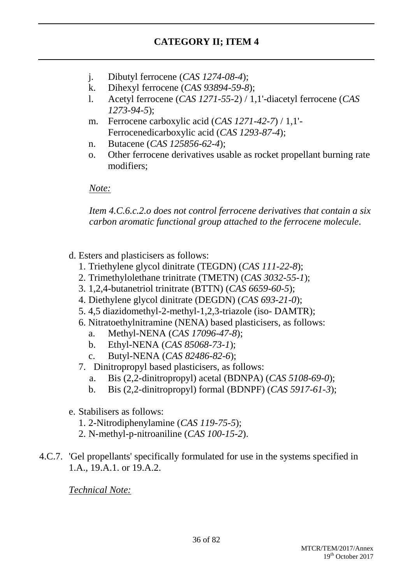- j. Dibutyl ferrocene (*CAS 1274-08-4*);
- k. Dihexyl ferrocene (*CAS 93894-59-8*);
- l. Acetyl ferrocene (*CAS 1271-55-*2) / 1,1'-diacetyl ferrocene (*CAS 1273-94-5*);
- m. Ferrocene carboxylic acid (*CAS 1271-42-7*) / 1,1'- Ferrocenedicarboxylic acid (*CAS 1293-87-4*);
- n. Butacene (*CAS 125856-62-4*);
- o. Other ferrocene derivatives usable as rocket propellant burning rate modifiers;

*Note:*

*Item 4.C.6.c.2.o does not control ferrocene derivatives that contain a six carbon aromatic functional group attached to the ferrocene molecule.*

- d. Esters and plasticisers as follows:
	- 1. Triethylene glycol dinitrate (TEGDN) (*CAS 111-22-8*);
	- 2. Trimethylolethane trinitrate (TMETN) (*CAS 3032-55-1*);
	- 3. 1,2,4-butanetriol trinitrate (BTTN) (*CAS 6659-60-5*);
	- 4. Diethylene glycol dinitrate (DEGDN) (*CAS 693-21-0*);
	- 5. 4,5 diazidomethyl-2-methyl-1,2,3-triazole (iso- DAMTR);
	- 6. Nitratoethylnitramine (NENA) based plasticisers, as follows:
		- a. Methyl-NENA (*CAS 17096-47-8*);
		- b. Ethyl-NENA (*CAS 85068-73-1*);
		- c. Butyl-NENA (*CAS 82486-82-6*);
	- 7. Dinitropropyl based plasticisers, as follows:
		- a. Bis (2,2-dinitropropyl) acetal (BDNPA) (*CAS 5108-69-0*);
		- b. Bis (2,2-dinitropropyl) formal (BDNPF) (*CAS 5917-61-3*);
- e. Stabilisers as follows:
	- 1. 2-Nitrodiphenylamine (*CAS 119-75-5*);
	- 2. N-methyl-p-nitroaniline (*CAS 100-15-2*).
- 4.C.7. 'Gel propellants' specifically formulated for use in the systems specified in 1.A., 19.A.1. or 19.A.2.

*Technical Note:*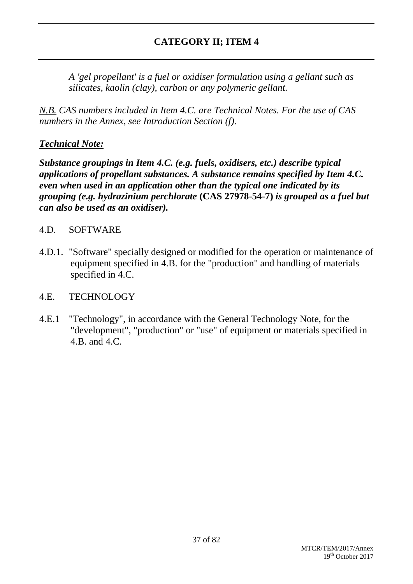*A 'gel propellant' is a fuel or oxidiser formulation using a gellant such as silicates, kaolin (clay), carbon or any polymeric gellant.*

*N.B. CAS numbers included in Item 4.C. are Technical Notes. For the use of CAS numbers in the Annex, see Introduction Section (f).*

### *Technical Note:*

*Substance groupings in Item 4.C. (e.g. fuels, oxidisers, etc.) describe typical applications of propellant substances. A substance remains specified by Item 4.C. even when used in an application other than the typical one indicated by its grouping (e.g. hydrazinium perchlorate* **(CAS 27978-54-7)** *is grouped as a fuel but can also be used as an oxidiser).*

- 4.D. SOFTWARE
- 4.D.1. "Software" specially designed or modified for the operation or maintenance of equipment specified in 4.B. for the "production" and handling of materials specified in 4.C.

#### 4.E. TECHNOLOGY

4.E.1 "Technology", in accordance with the General Technology Note, for the "development", "production" or "use" of equipment or materials specified in 4.B. and 4.C.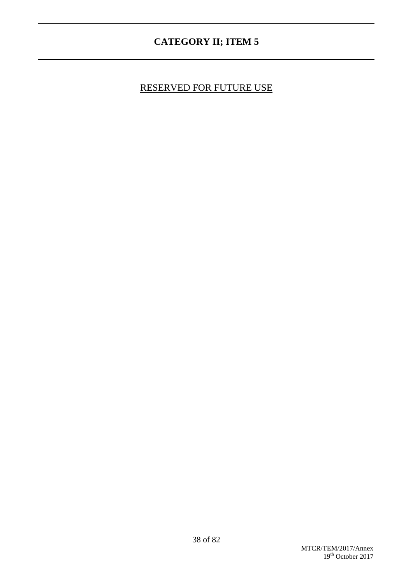# RESERVED FOR FUTURE USE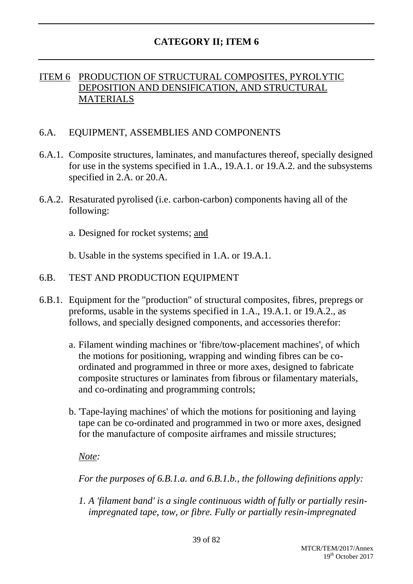### ITEM 6 PRODUCTION OF STRUCTURAL COMPOSITES, PYROLYTIC DEPOSITION AND DENSIFICATION, AND STRUCTURAL MATERIALS

### 6.A. EQUIPMENT, ASSEMBLIES AND COMPONENTS

- 6.A.1. Composite structures, laminates, and manufactures thereof, specially designed for use in the systems specified in 1.A., 19.A.1. or 19.A.2. and the subsystems specified in 2.A. or 20.A.
- 6.A.2. Resaturated pyrolised (i.e. carbon-carbon) components having all of the following:

a. Designed for rocket systems; and

b. Usable in the systems specified in 1.A. or 19.A.1.

#### 6.B. TEST AND PRODUCTION EQUIPMENT

- 6.B.1. Equipment for the "production" of structural composites, fibres, prepregs or preforms, usable in the systems specified in 1.A., 19.A.1. or 19.A.2., as follows, and specially designed components, and accessories therefor:
	- a. Filament winding machines or 'fibre/tow-placement machines', of which the motions for positioning, wrapping and winding fibres can be coordinated and programmed in three or more axes, designed to fabricate composite structures or laminates from fibrous or filamentary materials, and co-ordinating and programming controls;
	- b. 'Tape-laying machines' of which the motions for positioning and laying tape can be co-ordinated and programmed in two or more axes, designed for the manufacture of composite airframes and missile structures;

*Note:*

*For the purposes of 6.B.1.a. and 6.B.1.b., the following definitions apply:*

*1. A 'filament band' is a single continuous width of fully or partially resinimpregnated tape, tow, or fibre. Fully or partially resin-impregnated*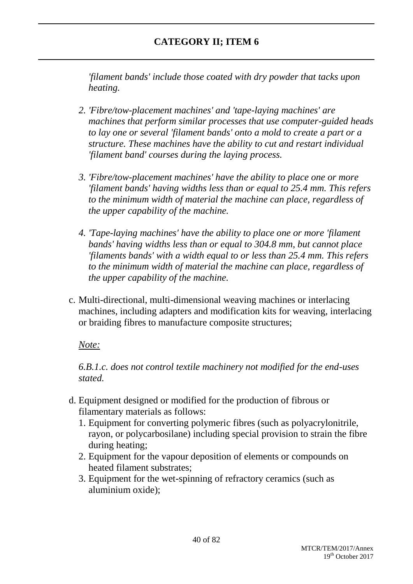*'filament bands' include those coated with dry powder that tacks upon heating.*

- *2. 'Fibre/tow-placement machines' and 'tape-laying machines' are machines that perform similar processes that use computer-guided heads to lay one or several 'filament bands' onto a mold to create a part or a structure. These machines have the ability to cut and restart individual 'filament band' courses during the laying process.*
- *3. 'Fibre/tow-placement machines' have the ability to place one or more 'filament bands' having widths less than or equal to 25.4 mm. This refers to the minimum width of material the machine can place, regardless of the upper capability of the machine.*
- *4. 'Tape-laying machines' have the ability to place one or more 'filament bands' having widths less than or equal to 304.8 mm, but cannot place 'filaments bands' with a width equal to or less than 25.4 mm. This refers to the minimum width of material the machine can place, regardless of the upper capability of the machine.*
- c. Multi-directional, multi-dimensional weaving machines or interlacing machines, including adapters and modification kits for weaving, interlacing or braiding fibres to manufacture composite structures;

# *Note:*

*6.B.1.c. does not control textile machinery not modified for the end-uses stated.*

- d. Equipment designed or modified for the production of fibrous or filamentary materials as follows:
	- 1. Equipment for converting polymeric fibres (such as polyacrylonitrile, rayon, or polycarbosilane) including special provision to strain the fibre during heating;
	- 2. Equipment for the vapour deposition of elements or compounds on heated filament substrates;
	- 3. Equipment for the wet-spinning of refractory ceramics (such as aluminium oxide);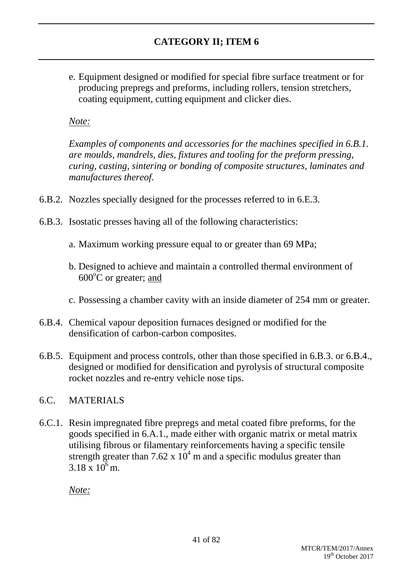e. Equipment designed or modified for special fibre surface treatment or for producing prepregs and preforms, including rollers, tension stretchers, coating equipment, cutting equipment and clicker dies.

### *Note:*

*Examples of components and accessories for the machines specified in 6.B.1. are moulds, mandrels, dies, fixtures and tooling for the preform pressing, curing, casting, sintering or bonding of composite structures, laminates and manufactures thereof.*

- 6.B.2. Nozzles specially designed for the processes referred to in 6.E.3.
- 6.B.3. Isostatic presses having all of the following characteristics:
	- a. Maximum working pressure equal to or greater than 69 MPa;
	- b. Designed to achieve and maintain a controlled thermal environment of  $600^{\circ}$ C or greater; and
	- c. Possessing a chamber cavity with an inside diameter of 254 mm or greater.
- 6.B.4. Chemical vapour deposition furnaces designed or modified for the densification of carbon-carbon composites.
- 6.B.5. Equipment and process controls, other than those specified in 6.B.3. or 6.B.4., designed or modified for densification and pyrolysis of structural composite rocket nozzles and re-entry vehicle nose tips.

### 6.C. MATERIALS

6.C.1. Resin impregnated fibre prepregs and metal coated fibre preforms, for the goods specified in 6.A.1., made either with organic matrix or metal matrix utilising fibrous or filamentary reinforcements having a specific tensile strength greater than 7.62 x  $10^4$  m and a specific modulus greater than  $3.18 \times 10^6$  m.

*Note:*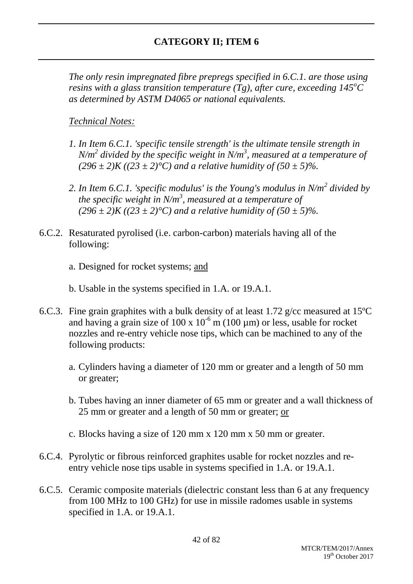*The only resin impregnated fibre prepregs specified in 6.C.1. are those using resins with a glass transition temperature (Tg), after cure, exceeding*  $145^{\circ}$ *C as determined by ASTM D4065 or national equivalents.*

*Technical Notes:*

- *1. In Item 6.C.1. 'specific tensile strength' is the ultimate tensile strength in N/m<sup>2</sup> divided by the specific weight in N/m<sup>3</sup> , measured at a temperature of*   $(296 \pm 2)K (23 \pm 2)°C$  *and a relative humidity of*  $(50 \pm 5)%$ .
- *2. In Item 6.C.1. 'specific modulus' is the Young's modulus in N/m<sup>2</sup> divided by the specific weight in N/m<sup>3</sup> , measured at a temperature of*   $(296 \pm 2)K ((23 \pm 2)^{\circ}C)$  and a relative humidity of  $(50 \pm 5)\%$ .
- 6.C.2. Resaturated pyrolised (i.e. carbon-carbon) materials having all of the following:

a. Designed for rocket systems; and

b. Usable in the systems specified in 1.A. or 19.A.1.

- 6.C.3. Fine grain graphites with a bulk density of at least 1.72 g/cc measured at 15ºC and having a grain size of 100 x  $10^{-6}$  m (100 µm) or less, usable for rocket nozzles and re-entry vehicle nose tips, which can be machined to any of the following products:
	- a. Cylinders having a diameter of 120 mm or greater and a length of 50 mm or greater;
	- b. Tubes having an inner diameter of 65 mm or greater and a wall thickness of 25 mm or greater and a length of 50 mm or greater; or
	- c. Blocks having a size of 120 mm x 120 mm x 50 mm or greater.
- 6.C.4. Pyrolytic or fibrous reinforced graphites usable for rocket nozzles and reentry vehicle nose tips usable in systems specified in 1.A. or 19.A.1.
- 6.C.5. Ceramic composite materials (dielectric constant less than 6 at any frequency from 100 MHz to 100 GHz) for use in missile radomes usable in systems specified in 1.A. or 19.A.1.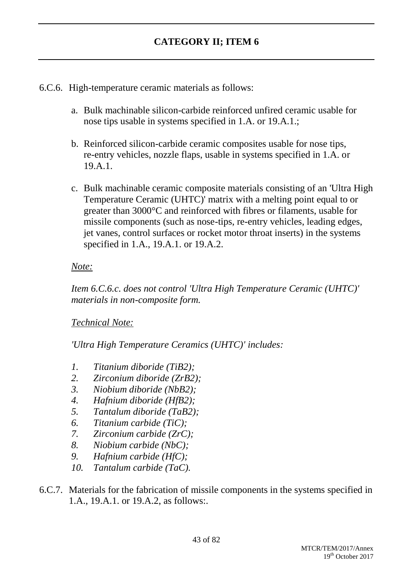6.C.6. High-temperature ceramic materials as follows:

- a. Bulk machinable silicon-carbide reinforced unfired ceramic usable for nose tips usable in systems specified in 1.A. or 19.A.1.;
- b. Reinforced silicon-carbide ceramic composites usable for nose tips, re-entry vehicles, nozzle flaps, usable in systems specified in 1.A. or 19.A.1.
- c. Bulk machinable ceramic composite materials consisting of an 'Ultra High Temperature Ceramic (UHTC)' matrix with a melting point equal to or greater than 3000°C and reinforced with fibres or filaments, usable for missile components (such as nose-tips, re-entry vehicles, leading edges, jet vanes, control surfaces or rocket motor throat inserts) in the systems specified in 1.A., 19.A.1. or 19.A.2.

### *Note:*

*Item 6.C.6.c. does not control 'Ultra High Temperature Ceramic (UHTC)' materials in non-composite form.*

### *Technical Note:*

*'Ultra High Temperature Ceramics (UHTC)' includes:*

- *1. Titanium diboride (TiB2);*
- *2. Zirconium diboride (ZrB2);*
- *3. Niobium diboride (NbB2);*
- *4. Hafnium diboride (HfB2);*
- *5. Tantalum diboride (TaB2);*
- *6. Titanium carbide (TiC);*
- *7. Zirconium carbide (ZrC);*
- *8. Niobium carbide (NbC);*
- *9. Hafnium carbide (HfC);*
- *10. Tantalum carbide (TaC).*
- 6.C.7. Materials for the fabrication of missile components in the systems specified in 1.A., 19.A.1. or 19.A.2, as follows:.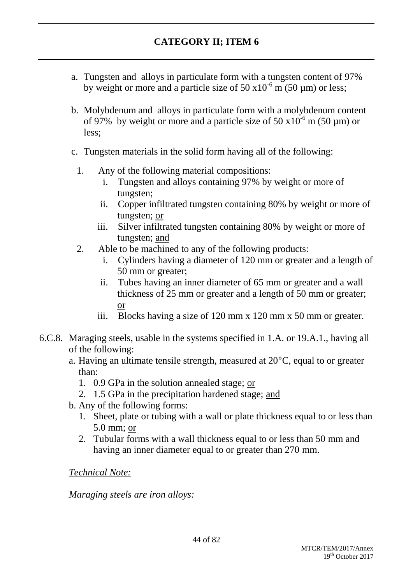- a. Tungsten and alloys in particulate form with a tungsten content of 97% by weight or more and a particle size of 50  $\times$ 10<sup>-6</sup> m (50  $\mu$ m) or less;
- b. Molybdenum and alloys in particulate form with a molybdenum content of 97% by weight or more and a particle size of 50  $\times 10^{-6}$  m (50 µm) or less;
- c. Tungsten materials in the solid form having all of the following:
	- 1. Any of the following material compositions:
		- i. Tungsten and alloys containing 97% by weight or more of tungsten;
		- ii. Copper infiltrated tungsten containing 80% by weight or more of tungsten; or
		- iii. Silver infiltrated tungsten containing 80% by weight or more of tungsten; and
	- 2. Able to be machined to any of the following products:
		- i. Cylinders having a diameter of 120 mm or greater and a length of 50 mm or greater;
		- ii. Tubes having an inner diameter of 65 mm or greater and a wall thickness of 25 mm or greater and a length of 50 mm or greater; or
		- iii. Blocks having a size of 120 mm x 120 mm x 50 mm or greater.
- 6.C.8. Maraging steels, usable in the systems specified in 1.A. or 19.A.1., having all of the following:
	- a. Having an ultimate tensile strength, measured at 20°C, equal to or greater than:
		- 1. 0.9 GPa in the solution annealed stage; or
		- 2. 1.5 GPa in the precipitation hardened stage; and
	- b. Any of the following forms:
		- 1. Sheet, plate or tubing with a wall or plate thickness equal to or less than 5.0 mm; or
		- 2. Tubular forms with a wall thickness equal to or less than 50 mm and having an inner diameter equal to or greater than 270 mm.

*Technical Note:*

*Maraging steels are iron alloys:*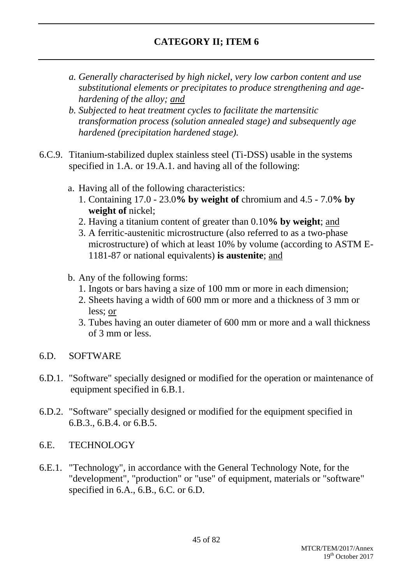- *a. Generally characterised by high nickel, very low carbon content and use substitutional elements or precipitates to produce strengthening and agehardening of the alloy; and*
- *b. Subjected to heat treatment cycles to facilitate the martensitic transformation process (solution annealed stage) and subsequently age hardened (precipitation hardened stage).*
- 6.C.9. Titanium-stabilized duplex stainless steel (Ti-DSS) usable in the systems specified in 1.A. or 19.A.1. and having all of the following:
	- a. Having all of the following characteristics:
		- 1. Containing 17.0 23.0**% by weight of** chromium and 4.5 7.0**% by weight of** nickel;
		- 2. Having a titanium content of greater than 0.10**% by weight**; and
		- 3. A ferritic-austenitic microstructure (also referred to as a two-phase microstructure) of which at least 10% by volume (according to ASTM E-1181-87 or national equivalents) **is austenite**; and
	- b. Any of the following forms:
		- 1. Ingots or bars having a size of 100 mm or more in each dimension;
		- 2. Sheets having a width of 600 mm or more and a thickness of 3 mm or less; or
		- 3. Tubes having an outer diameter of 600 mm or more and a wall thickness of 3 mm or less.

### 6.D. SOFTWARE

- 6.D.1. "Software" specially designed or modified for the operation or maintenance of equipment specified in 6.B.1.
- 6.D.2. "Software" specially designed or modified for the equipment specified in 6.B.3., 6.B.4. or 6.B.5.
- 6.E. TECHNOLOGY
- 6.E.1. "Technology", in accordance with the General Technology Note, for the "development", "production" or "use" of equipment, materials or "software" specified in 6.A., 6.B., 6.C. or 6.D.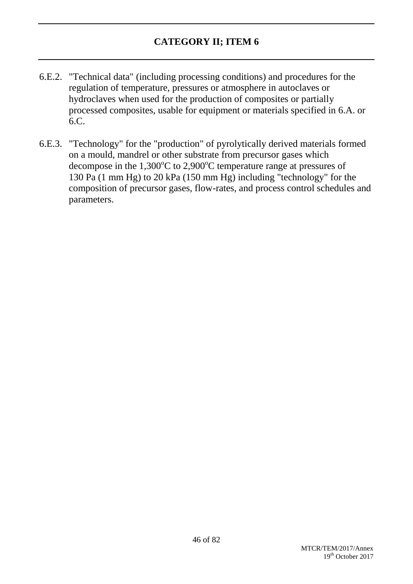- 6.E.2. "Technical data" (including processing conditions) and procedures for the regulation of temperature, pressures or atmosphere in autoclaves or hydroclaves when used for the production of composites or partially processed composites, usable for equipment or materials specified in 6.A. or 6.C.
- 6.E.3. "Technology" for the "production" of pyrolytically derived materials formed on a mould, mandrel or other substrate from precursor gases which decompose in the  $1,300^{\circ}$ C to  $2,900^{\circ}$ C temperature range at pressures of 130 Pa (1 mm Hg) to 20 kPa (150 mm Hg) including "technology" for the composition of precursor gases, flow-rates, and process control schedules and parameters.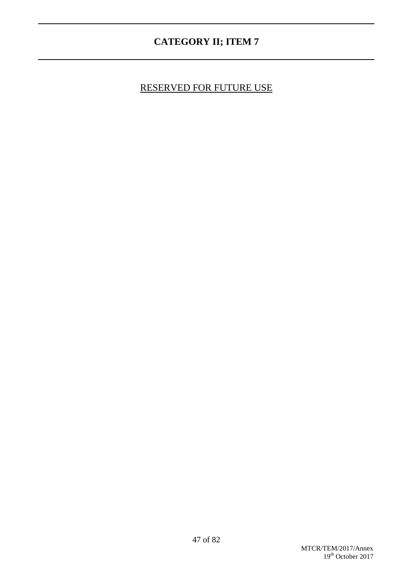## RESERVED FOR FUTURE USE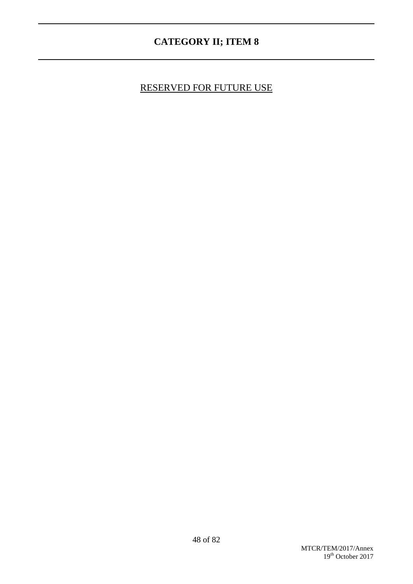# RESERVED FOR FUTURE USE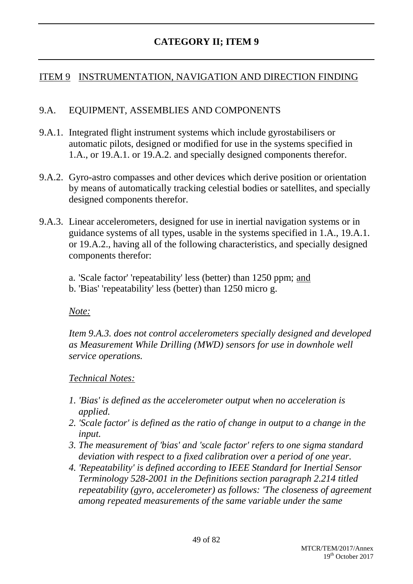### ITEM 9 INSTRUMENTATION, NAVIGATION AND DIRECTION FINDING

#### 9.A. EQUIPMENT, ASSEMBLIES AND COMPONENTS

- 9.A.1. Integrated flight instrument systems which include gyrostabilisers or automatic pilots, designed or modified for use in the systems specified in 1.A., or 19.A.1. or 19.A.2. and specially designed components therefor.
- 9.A.2. Gyro-astro compasses and other devices which derive position or orientation by means of automatically tracking celestial bodies or satellites, and specially designed components therefor.
- 9.A.3. Linear accelerometers, designed for use in inertial navigation systems or in guidance systems of all types, usable in the systems specified in 1.A., 19.A.1. or 19.A.2., having all of the following characteristics, and specially designed components therefor:
	- a. 'Scale factor' 'repeatability' less (better) than 1250 ppm; and
	- b. 'Bias' 'repeatability' less (better) than 1250 micro g.

#### *Note:*

*Item 9.A.3. does not control accelerometers specially designed and developed as Measurement While Drilling (MWD) sensors for use in downhole well service operations.*

#### *Technical Notes:*

- *1. 'Bias' is defined as the accelerometer output when no acceleration is applied.*
- *2. 'Scale factor' is defined as the ratio of change in output to a change in the input.*
- *3. The measurement of 'bias' and 'scale factor' refers to one sigma standard deviation with respect to a fixed calibration over a period of one year.*
- *4. 'Repeatability' is defined according to IEEE Standard for Inertial Sensor Terminology 528-2001 in the Definitions section paragraph 2.214 titled repeatability (gyro, accelerometer) as follows: 'The closeness of agreement among repeated measurements of the same variable under the same*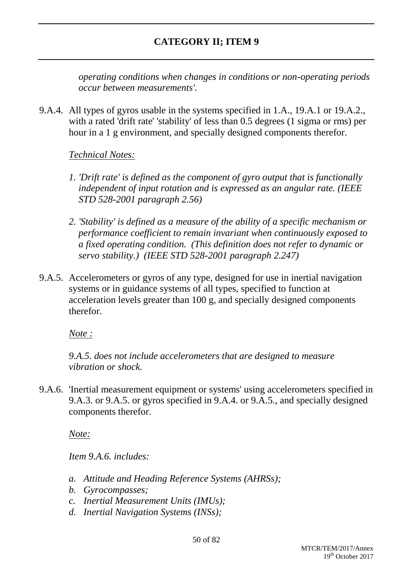*operating conditions when changes in conditions or non-operating periods occur between measurements'.*

9.A.4. All types of gyros usable in the systems specified in 1.A., 19.A.1 or 19.A.2., with a rated 'drift rate' 'stability' of less than 0.5 degrees (1 sigma or rms) per hour in a 1 g environment, and specially designed components therefor.

### *Technical Notes:*

- *1. 'Drift rate' is defined as the component of gyro output that is functionally independent of input rotation and is expressed as an angular rate. (IEEE STD 528-2001 paragraph 2.56)*
- *2. 'Stability' is defined as a measure of the ability of a specific mechanism or performance coefficient to remain invariant when continuously exposed to a fixed operating condition. (This definition does not refer to dynamic or servo stability.) (IEEE STD 528-2001 paragraph 2.247)*
- 9.A.5. Accelerometers or gyros of any type, designed for use in inertial navigation systems or in guidance systems of all types, specified to function at acceleration levels greater than 100 g, and specially designed components therefor.

*Note :*

*9.A.5. does not include accelerometers that are designed to measure vibration or shock.*

9.A.6. 'Inertial measurement equipment or systems' using accelerometers specified in 9.A.3. or 9.A.5. or gyros specified in 9.A.4. or 9.A.5., and specially designed components therefor.

*Note:*

*Item 9.A.6. includes:*

- *a. Attitude and Heading Reference Systems (AHRSs);*
- *b. Gyrocompasses;*
- *c. Inertial Measurement Units (IMUs);*
- *d. Inertial Navigation Systems (INSs);*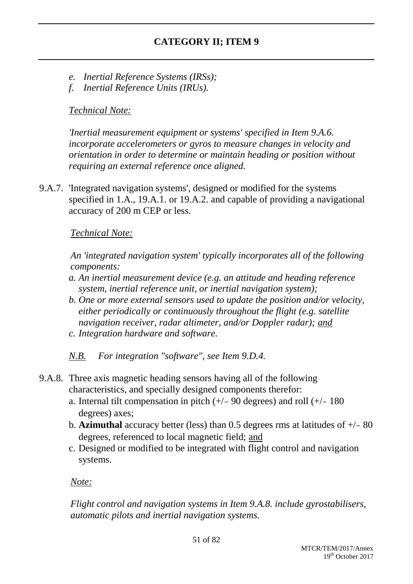- *e. Inertial Reference Systems (IRSs);*
- *f. Inertial Reference Units (IRUs).*

### *Technical Note:*

*'Inertial measurement equipment or systems' specified in Item 9.A.6. incorporate accelerometers or gyros to measure changes in velocity and orientation in order to determine or maintain heading or position without requiring an external reference once aligned.*

9.A.7. 'Integrated navigation systems', designed or modified for the systems specified in 1.A., 19.A.1. or 19.A.2. and capable of providing a navigational accuracy of 200 m CEP or less.

### *Technical Note:*

*An 'integrated navigation system' typically incorporates all of the following components:*

- *a. An inertial measurement device (e.g. an attitude and heading reference system, inertial reference unit, or inertial navigation system);*
- *b. One or more external sensors used to update the position and/or velocity, either periodically or continuously throughout the flight (e.g. satellite navigation receiver, radar altimeter, and/or Doppler radar); and c. Integration hardware and software.*

*N.B. For integration "software", see Item 9.D.4.*

- 9.A.8. Three axis magnetic heading sensors having all of the following characteristics, and specially designed components therefor:
	- a. Internal tilt compensation in pitch  $(+/- 90$  degrees) and roll  $(+/- 180$ degrees) axes;
	- b. **Azimuthal** accuracy better (less) than  $0.5$  degrees rms at latitudes of  $+/- 80$ degrees, referenced to local magnetic field; and
	- c. Designed or modified to be integrated with flight control and navigation systems.

#### *Note:*

*Flight control and navigation systems in Item 9.A.8. include gyrostabilisers, automatic pilots and inertial navigation systems.*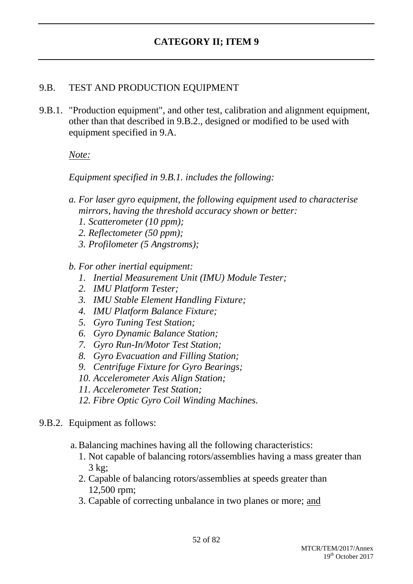## 9.B. TEST AND PRODUCTION EQUIPMENT

9.B.1. "Production equipment", and other test, calibration and alignment equipment, other than that described in 9.B.2., designed or modified to be used with equipment specified in 9.A.

### *Note:*

*Equipment specified in 9.B.1. includes the following:*

- *a. For laser gyro equipment, the following equipment used to characterise mirrors, having the threshold accuracy shown or better:*
	- *1. Scatterometer (10 ppm);*
	- *2. Reflectometer (50 ppm);*
	- *3. Profilometer (5 Angstroms);*

### *b. For other inertial equipment:*

- *1. Inertial Measurement Unit (IMU) Module Tester;*
- *2. IMU Platform Tester;*
- *3. IMU Stable Element Handling Fixture;*
- *4. IMU Platform Balance Fixture;*
- *5. Gyro Tuning Test Station;*
- *6. Gyro Dynamic Balance Station;*
- *7. Gyro Run-In/Motor Test Station;*
- *8. Gyro Evacuation and Filling Station;*
- *9. Centrifuge Fixture for Gyro Bearings;*
- *10. Accelerometer Axis Align Station;*
- *11. Accelerometer Test Station;*
- *12. Fibre Optic Gyro Coil Winding Machines.*
- 9.B.2. Equipment as follows:
	- a.Balancing machines having all the following characteristics:
		- 1. Not capable of balancing rotors/assemblies having a mass greater than 3 kg;
		- 2. Capable of balancing rotors/assemblies at speeds greater than 12,500 rpm;
		- 3. Capable of correcting unbalance in two planes or more; and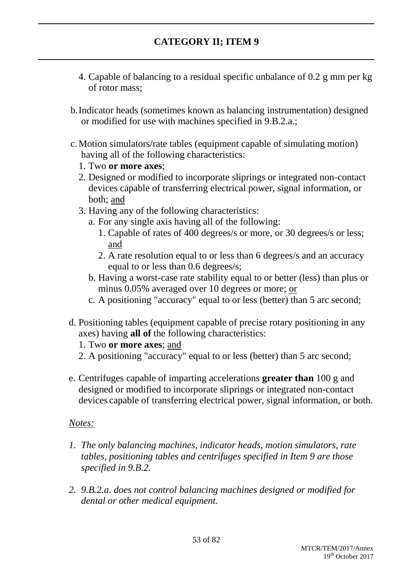- 4. Capable of balancing to a residual specific unbalance of 0.2 g mm per kg of rotor mass;
- b.Indicator heads (sometimes known as balancing instrumentation) designed or modified for use with machines specified in 9.B.2.a.;
- c.Motion simulators/rate tables (equipment capable of simulating motion) having all of the following characteristics:
	- 1. Two **or more axes**;
	- 2. Designed or modified to incorporate sliprings or integrated non-contact devices capable of transferring electrical power, signal information, or both; and
	- 3. Having any of the following characteristics:
		- a. For any single axis having all of the following:
			- 1. Capable of rates of 400 degrees/s or more, or 30 degrees/s or less; and
			- 2. A rate resolution equal to or less than 6 degrees/s and an accuracy equal to or less than 0.6 degrees/s;
		- b. Having a worst-case rate stability equal to or better (less) than plus or minus 0.05% averaged over 10 degrees or more; or
		- c. A positioning "accuracy" equal to or less (better) than 5 arc second;
- d. Positioning tables (equipment capable of precise rotary positioning in any axes) having **all of** the following characteristics:
	- 1. Two **or more axes**; and
	- 2. A positioning "accuracy" equal to or less (better) than 5 arc second;
- e. Centrifuges capable of imparting accelerations **greater than** 100 g and designed or modified to incorporate sliprings or integrated non-contact devices capable of transferring electrical power, signal information, or both.

#### *Notes:*

- *1. The only balancing machines, indicator heads, motion simulators, rate tables, positioning tables and centrifuges specified in Item 9 are those specified in 9.B.2.*
- *2. 9.B.2.a. does not control balancing machines designed or modified for dental or other medical equipment.*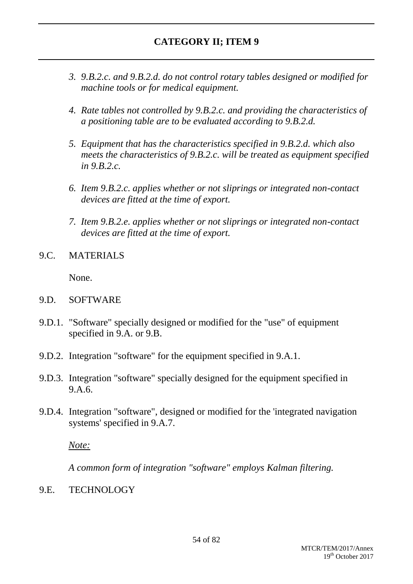- *3. 9.B.2.c. and 9.B.2.d. do not control rotary tables designed or modified for machine tools or for medical equipment.*
- *4. Rate tables not controlled by 9.B.2.c. and providing the characteristics of a positioning table are to be evaluated according to 9.B.2.d.*
- *5. Equipment that has the characteristics specified in 9.B.2.d. which also meets the characteristics of 9.B.2.c. will be treated as equipment specified in 9.B.2.c.*
- *6. Item 9.B.2.c. applies whether or not sliprings or integrated non-contact devices are fitted at the time of export.*
- *7. Item 9.B.2.e. applies whether or not sliprings or integrated non-contact devices are fitted at the time of export.*
- 9.C. MATERIALS

None.

- 9.D. SOFTWARE
- 9.D.1. "Software" specially designed or modified for the "use" of equipment specified in 9.A. or 9.B.
- 9.D.2. Integration "software" for the equipment specified in 9.A.1.
- 9.D.3. Integration "software" specially designed for the equipment specified in 9.A.6.
- 9.D.4. Integration "software", designed or modified for the 'integrated navigation systems' specified in 9.A.7.

*Note:*

*A common form of integration "software" employs Kalman filtering.*

9.E. TECHNOLOGY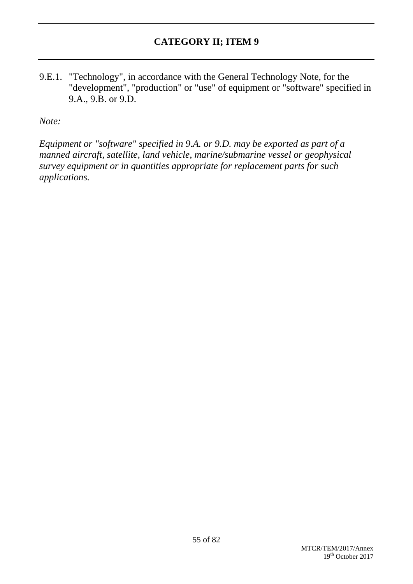9.E.1. "Technology", in accordance with the General Technology Note, for the "development", "production" or "use" of equipment or "software" specified in 9.A., 9.B. or 9.D.

### *Note:*

*Equipment or "software" specified in 9.A. or 9.D. may be exported as part of a manned aircraft, satellite, land vehicle, marine/submarine vessel or geophysical survey equipment or in quantities appropriate for replacement parts for such applications.*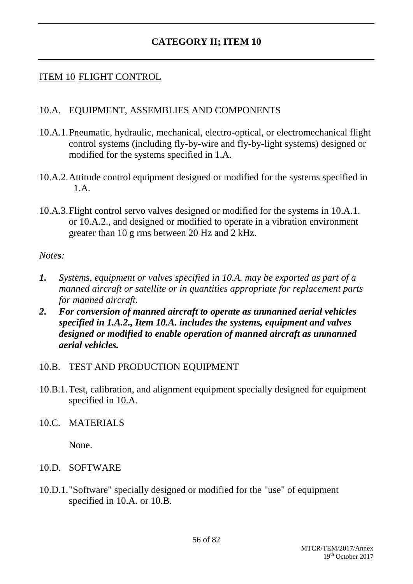### ITEM 10 FLIGHT CONTROL

#### 10.A. EQUIPMENT, ASSEMBLIES AND COMPONENTS

- 10.A.1.Pneumatic, hydraulic, mechanical, electro-optical, or electromechanical flight control systems (including fly-by-wire and fly-by-light systems) designed or modified for the systems specified in 1.A.
- 10.A.2.Attitude control equipment designed or modified for the systems specified in  $1 \text{ A}$
- 10.A.3.Flight control servo valves designed or modified for the systems in 10.A.1. or 10.A.2., and designed or modified to operate in a vibration environment greater than 10 g rms between 20 Hz and 2 kHz.

#### *Notes:*

- *1. Systems, equipment or valves specified in 10.A. may be exported as part of a manned aircraft or satellite or in quantities appropriate for replacement parts for manned aircraft.*
- *2. For conversion of manned aircraft to operate as unmanned aerial vehicles specified in 1.A.2., Item 10.A. includes the systems, equipment and valves designed or modified to enable operation of manned aircraft as unmanned aerial vehicles.*

#### 10.B. TEST AND PRODUCTION EQUIPMENT

- 10.B.1.Test, calibration, and alignment equipment specially designed for equipment specified in 10.A.
- 10.C. MATERIALS

None.

- 10.D. SOFTWARE
- 10.D.1."Software" specially designed or modified for the "use" of equipment specified in 10.A. or 10.B.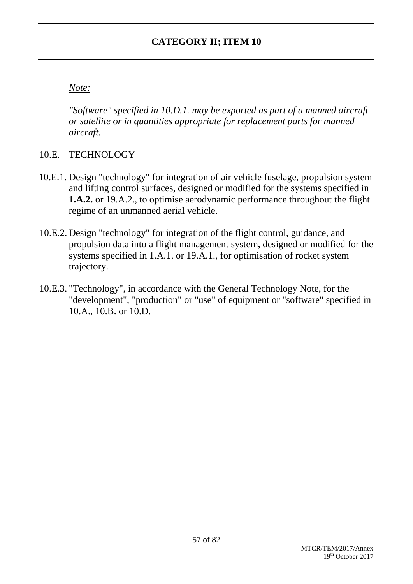## *Note:*

*"Software" specified in 10.D.1. may be exported as part of a manned aircraft or satellite or in quantities appropriate for replacement parts for manned aircraft.*

## 10.E. TECHNOLOGY

- 10.E.1. Design "technology" for integration of air vehicle fuselage, propulsion system and lifting control surfaces, designed or modified for the systems specified in **1.A.2.** or 19.A.2., to optimise aerodynamic performance throughout the flight regime of an unmanned aerial vehicle.
- 10.E.2. Design "technology" for integration of the flight control, guidance, and propulsion data into a flight management system, designed or modified for the systems specified in 1.A.1. or 19.A.1., for optimisation of rocket system trajectory.
- 10.E.3. "Technology", in accordance with the General Technology Note, for the "development", "production" or "use" of equipment or "software" specified in 10.A., 10.B. or 10.D.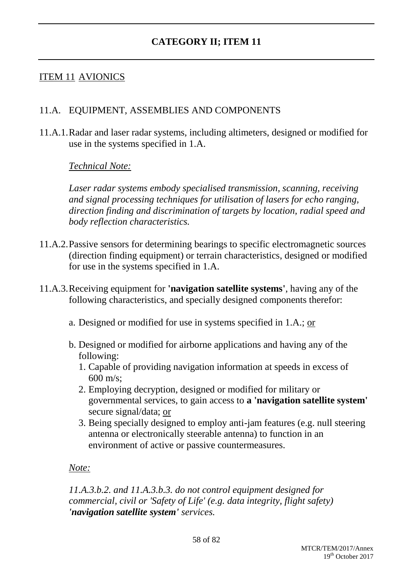## ITEM 11 AVIONICS

### 11.A. EQUIPMENT, ASSEMBLIES AND COMPONENTS

11.A.1.Radar and laser radar systems, including altimeters, designed or modified for use in the systems specified in 1.A.

*Technical Note:*

*Laser radar systems embody specialised transmission, scanning, receiving and signal processing techniques for utilisation of lasers for echo ranging, direction finding and discrimination of targets by location, radial speed and body reflection characteristics.*

- 11.A.2.Passive sensors for determining bearings to specific electromagnetic sources (direction finding equipment) or terrain characteristics, designed or modified for use in the systems specified in 1.A.
- 11.A.3.Receiving equipment for **'navigation satellite systems'**, having any of the following characteristics, and specially designed components therefor:
	- a. Designed or modified for use in systems specified in 1.A.; or
	- b. Designed or modified for airborne applications and having any of the following:
		- 1. Capable of providing navigation information at speeds in excess of 600 m/s;
		- 2. Employing decryption, designed or modified for military or governmental services, to gain access to **a 'navigation satellite system'** secure signal/data; or
		- 3. Being specially designed to employ anti-jam features (e.g. null steering antenna or electronically steerable antenna) to function in an environment of active or passive countermeasures.

#### *Note:*

*11.A.3.b.2. and 11.A.3.b.3. do not control equipment designed for commercial, civil or 'Safety of Life' (e.g. data integrity, flight safety) 'navigation satellite system' services.*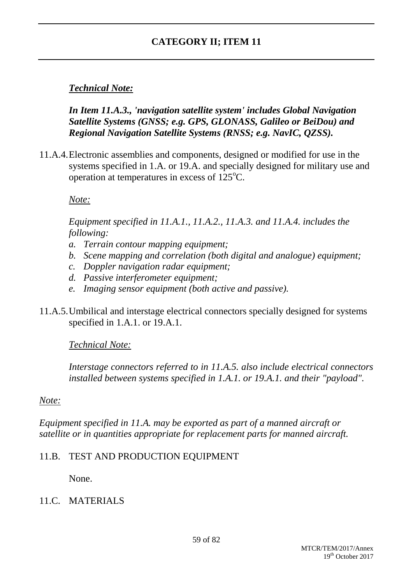# *Technical Note:*

*In Item 11.A.3., 'navigation satellite system' includes Global Navigation Satellite Systems (GNSS; e.g. GPS, GLONASS, Galileo or BeiDou) and Regional Navigation Satellite Systems (RNSS; e.g. NavIC, QZSS).*

11.A.4.Electronic assemblies and components, designed or modified for use in the systems specified in 1.A. or 19.A. and specially designed for military use and operation at temperatures in excess of  $125^{\circ}$ C.

*Note:*

*Equipment specified in 11.A.1., 11.A.2., 11.A.3. and 11.A.4. includes the following:*

- *a. Terrain contour mapping equipment;*
- *b. Scene mapping and correlation (both digital and analogue) equipment;*
- *c. Doppler navigation radar equipment;*
- *d. Passive interferometer equipment;*
- *e. Imaging sensor equipment (both active and passive).*
- 11.A.5.Umbilical and interstage electrical connectors specially designed for systems specified in 1.A.1. or 19.A.1.

*Technical Note:*

*Interstage connectors referred to in 11.A.5. also include electrical connectors installed between systems specified in 1.A.1. or 19.A.1. and their "payload".*

#### *Note:*

*Equipment specified in 11.A. may be exported as part of a manned aircraft or satellite or in quantities appropriate for replacement parts for manned aircraft.*

### 11.B. TEST AND PRODUCTION EQUIPMENT

None.

### 11.C. MATERIALS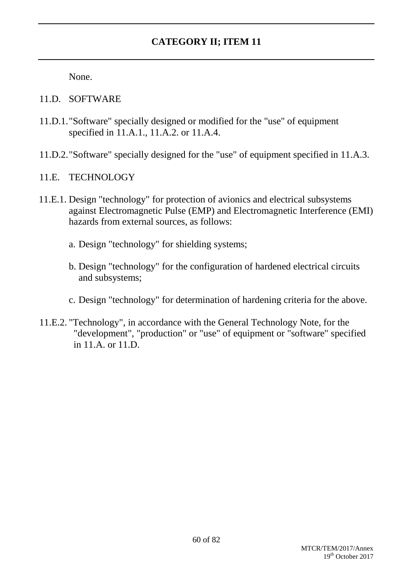None.

### 11.D. SOFTWARE

- 11.D.1."Software" specially designed or modified for the "use" of equipment specified in 11.A.1., 11.A.2. or 11.A.4.
- 11.D.2."Software" specially designed for the "use" of equipment specified in 11.A.3.
- 11.E. TECHNOLOGY
- 11.E.1. Design "technology" for protection of avionics and electrical subsystems against Electromagnetic Pulse (EMP) and Electromagnetic Interference (EMI) hazards from external sources, as follows:
	- a. Design "technology" for shielding systems;
	- b. Design "technology" for the configuration of hardened electrical circuits and subsystems;
	- c. Design "technology" for determination of hardening criteria for the above.
- 11.E.2. "Technology", in accordance with the General Technology Note, for the "development", "production" or "use" of equipment or "software" specified in 11.A. or 11.D.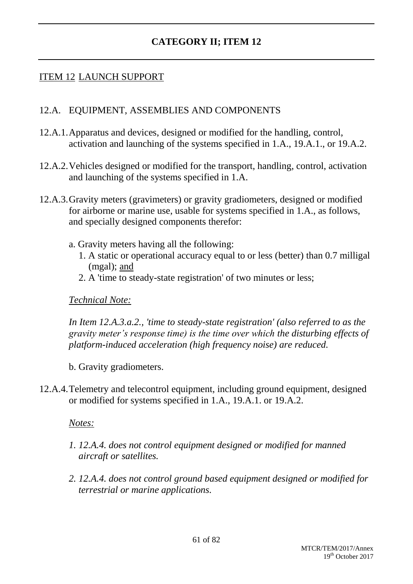## ITEM 12 LAUNCH SUPPORT

### 12.A. EQUIPMENT, ASSEMBLIES AND COMPONENTS

- 12.A.1.Apparatus and devices, designed or modified for the handling, control, activation and launching of the systems specified in 1.A., 19.A.1., or 19.A.2.
- 12.A.2.Vehicles designed or modified for the transport, handling, control, activation and launching of the systems specified in 1.A.
- 12.A.3.Gravity meters (gravimeters) or gravity gradiometers, designed or modified for airborne or marine use, usable for systems specified in 1.A., as follows, and specially designed components therefor:
	- a. Gravity meters having all the following:
		- 1. A static or operational accuracy equal to or less (better) than 0.7 milligal (mgal); and
		- 2. A 'time to steady-state registration' of two minutes or less;

*Technical Note:*

*In Item 12.A.3.a.2., 'time to steady-state registration' (also referred to as the gravity meter's response time) is the time over which the disturbing effects of platform-induced acceleration (high frequency noise) are reduced.*

- b. Gravity gradiometers.
- 12.A.4.Telemetry and telecontrol equipment, including ground equipment, designed or modified for systems specified in 1.A., 19.A.1. or 19.A.2.

*Notes:*

- *1. 12.A.4. does not control equipment designed or modified for manned aircraft or satellites.*
- *2. 12.A.4. does not control ground based equipment designed or modified for terrestrial or marine applications.*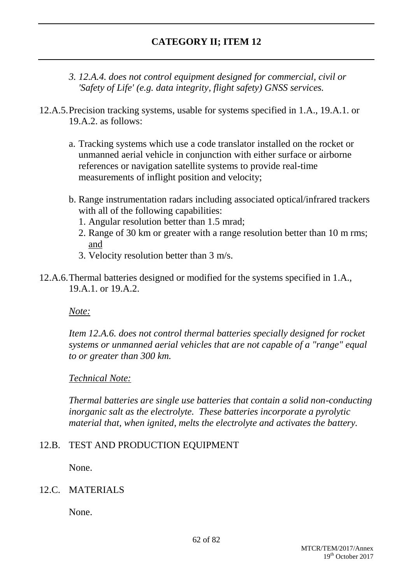- *3. 12.A.4. does not control equipment designed for commercial, civil or 'Safety of Life' (e.g. data integrity, flight safety) GNSS services.*
- 12.A.5.Precision tracking systems, usable for systems specified in 1.A., 19.A.1. or 19.A.2. as follows:
	- a. Tracking systems which use a code translator installed on the rocket or unmanned aerial vehicle in conjunction with either surface or airborne references or navigation satellite systems to provide real-time measurements of inflight position and velocity;
	- b. Range instrumentation radars including associated optical/infrared trackers with all of the following capabilities:
		- 1. Angular resolution better than 1.5 mrad;
		- 2. Range of 30 km or greater with a range resolution better than 10 m rms; and
		- 3. Velocity resolution better than 3 m/s.
- 12.A.6.Thermal batteries designed or modified for the systems specified in 1.A., 19.A.1. or 19.A.2.

#### *Note:*

*Item 12.A.6. does not control thermal batteries specially designed for rocket systems or unmanned aerial vehicles that are not capable of a "range" equal to or greater than 300 km.*

#### *Technical Note:*

*Thermal batteries are single use batteries that contain a solid non-conducting inorganic salt as the electrolyte. These batteries incorporate a pyrolytic material that, when ignited, melts the electrolyte and activates the battery.*

#### 12.B. TEST AND PRODUCTION EQUIPMENT

None.

### 12.C. MATERIALS

None.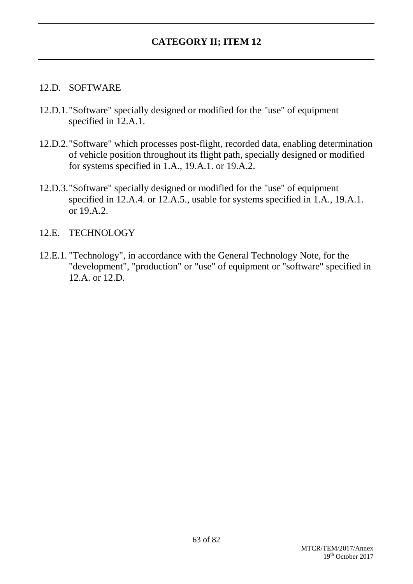### 12.D. SOFTWARE

- 12.D.1."Software" specially designed or modified for the "use" of equipment specified in 12.A.1.
- 12.D.2."Software" which processes post-flight, recorded data, enabling determination of vehicle position throughout its flight path, specially designed or modified for systems specified in 1.A., 19.A.1. or 19.A.2.
- 12.D.3."Software" specially designed or modified for the "use" of equipment specified in 12.A.4. or 12.A.5., usable for systems specified in 1.A., 19.A.1. or 19.A.2.

### 12.E. TECHNOLOGY

12.E.1. "Technology", in accordance with the General Technology Note, for the "development", "production" or "use" of equipment or "software" specified in 12.A. or 12.D.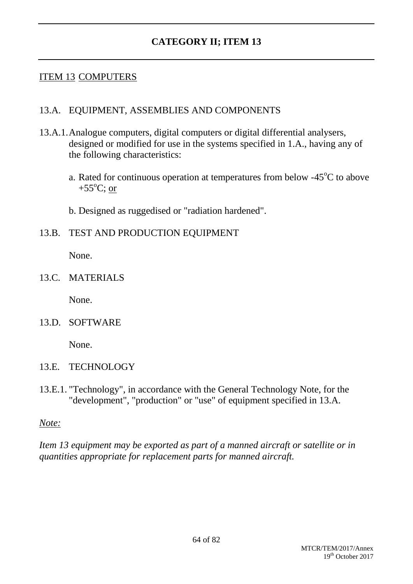### ITEM 13 COMPUTERS

#### 13.A. EQUIPMENT, ASSEMBLIES AND COMPONENTS

- 13.A.1.Analogue computers, digital computers or digital differential analysers, designed or modified for use in the systems specified in 1.A., having any of the following characteristics:
	- a. Rated for continuous operation at temperatures from below -45 $^{\circ}$ C to above +55 $^{\circ}$ C; or
	- b. Designed as ruggedised or "radiation hardened".
- 13.B. TEST AND PRODUCTION EQUIPMENT

None.

13.C. MATERIALS

None.

13.D. SOFTWARE

None.

- 13.E. TECHNOLOGY
- 13.E.1. "Technology", in accordance with the General Technology Note, for the "development", "production" or "use" of equipment specified in 13.A.

*Note:*

*Item 13 equipment may be exported as part of a manned aircraft or satellite or in quantities appropriate for replacement parts for manned aircraft.*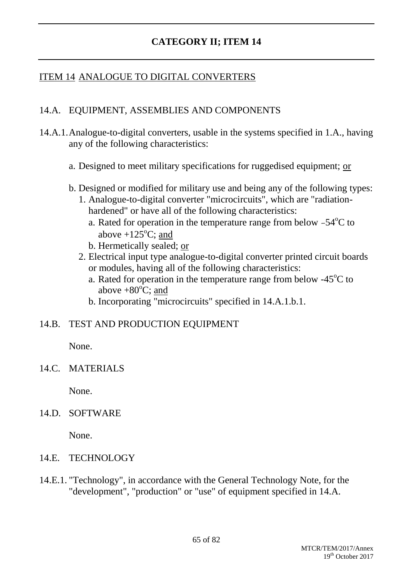# ITEM 14 ANALOGUE TO DIGITAL CONVERTERS

### 14.A. EQUIPMENT, ASSEMBLIES AND COMPONENTS

- 14.A.1.Analogue-to-digital converters, usable in the systems specified in 1.A., having any of the following characteristics:
	- a. Designed to meet military specifications for ruggedised equipment; or
	- b. Designed or modified for military use and being any of the following types:
		- 1. Analogue-to-digital converter "microcircuits", which are "radiationhardened" or have all of the following characteristics:
			- a. Rated for operation in the temperature range from below  $-54^{\circ}$ C to above  $+125$ <sup>o</sup>C; and
			- b. Hermetically sealed; or
		- 2. Electrical input type analogue-to-digital converter printed circuit boards or modules, having all of the following characteristics:
			- a. Rated for operation in the temperature range from below  $-45^{\circ}$ C to above  $+80^{\circ}$ C; and
			- b. Incorporating "microcircuits" specified in 14.A.1.b.1.

#### 14.B. TEST AND PRODUCTION EQUIPMENT

None.

14.C. MATERIALS

None.

14.D. SOFTWARE

None.

- 14.E. TECHNOLOGY
- 14.E.1. "Technology", in accordance with the General Technology Note, for the "development", "production" or "use" of equipment specified in 14.A.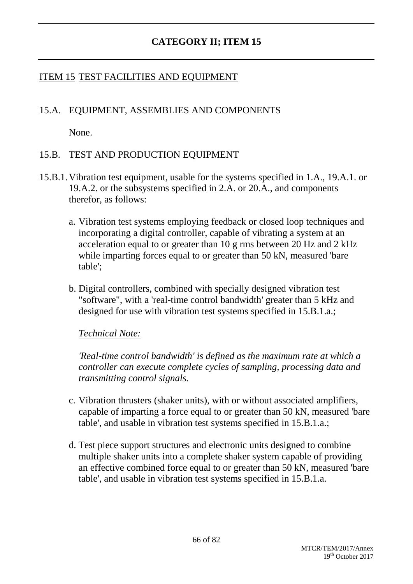## ITEM 15 TEST FACILITIES AND EQUIPMENT

### 15.A. EQUIPMENT, ASSEMBLIES AND COMPONENTS

None.

### 15.B. TEST AND PRODUCTION EQUIPMENT

- 15.B.1.Vibration test equipment, usable for the systems specified in 1.A., 19.A.1. or 19.A.2. or the subsystems specified in 2.A. or 20.A., and components therefor, as follows:
	- a. Vibration test systems employing feedback or closed loop techniques and incorporating a digital controller, capable of vibrating a system at an acceleration equal to or greater than 10 g rms between 20 Hz and 2 kHz while imparting forces equal to or greater than 50 kN, measured 'bare table';
	- b. Digital controllers, combined with specially designed vibration test "software", with a 'real-time control bandwidth' greater than 5 kHz and designed for use with vibration test systems specified in 15.B.1.a.;

*Technical Note:*

*'Real-time control bandwidth' is defined as the maximum rate at which a controller can execute complete cycles of sampling, processing data and transmitting control signals.*

- c. Vibration thrusters (shaker units), with or without associated amplifiers, capable of imparting a force equal to or greater than 50 kN, measured 'bare table', and usable in vibration test systems specified in 15.B.1.a.;
- d. Test piece support structures and electronic units designed to combine multiple shaker units into a complete shaker system capable of providing an effective combined force equal to or greater than 50 kN, measured 'bare table', and usable in vibration test systems specified in 15.B.1.a.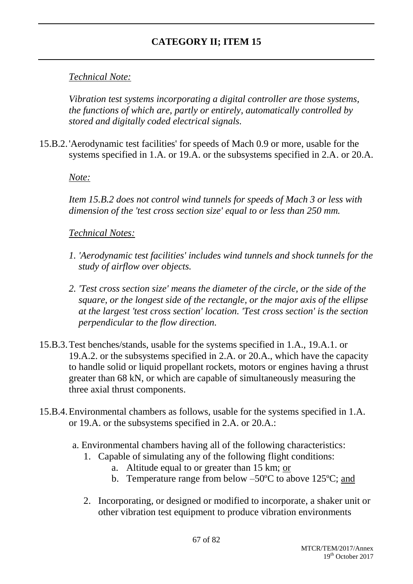## *Technical Note:*

*Vibration test systems incorporating a digital controller are those systems, the functions of which are, partly or entirely, automatically controlled by stored and digitally coded electrical signals.*

15.B.2.'Aerodynamic test facilities' for speeds of Mach 0.9 or more, usable for the systems specified in 1.A. or 19.A. or the subsystems specified in 2.A. or 20.A.

*Note:*

*Item 15.B.2 does not control wind tunnels for speeds of Mach 3 or less with dimension of the 'test cross section size' equal to or less than 250 mm.*

*Technical Notes:*

- *1. 'Aerodynamic test facilities' includes wind tunnels and shock tunnels for the study of airflow over objects.*
- *2. 'Test cross section size' means the diameter of the circle, or the side of the square, or the longest side of the rectangle, or the major axis of the ellipse at the largest 'test cross section' location. 'Test cross section' is the section perpendicular to the flow direction.*
- 15.B.3.Test benches/stands, usable for the systems specified in 1.A., 19.A.1. or 19.A.2. or the subsystems specified in 2.A. or 20.A., which have the capacity to handle solid or liquid propellant rockets, motors or engines having a thrust greater than 68 kN, or which are capable of simultaneously measuring the three axial thrust components.
- 15.B.4.Environmental chambers as follows, usable for the systems specified in 1.A. or 19.A. or the subsystems specified in 2.A. or 20.A.:
	- a. Environmental chambers having all of the following characteristics:
		- 1. Capable of simulating any of the following flight conditions:
			- a. Altitude equal to or greater than 15 km; or
			- b. Temperature range from below –50°C to above 125°C; and
		- 2. Incorporating, or designed or modified to incorporate, a shaker unit or other vibration test equipment to produce vibration environments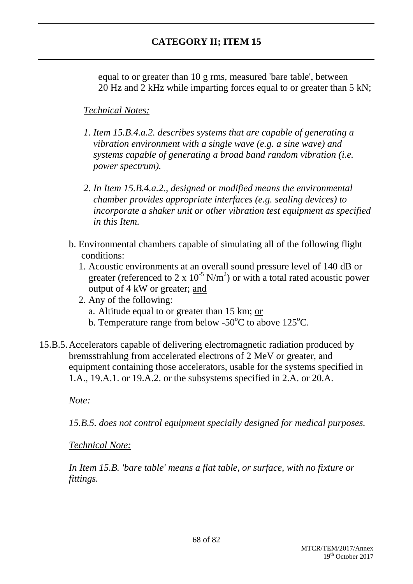equal to or greater than 10 g rms, measured 'bare table', between 20 Hz and 2 kHz while imparting forces equal to or greater than 5 kN;

### *Technical Notes:*

- *1. Item 15.B.4.a.2. describes systems that are capable of generating a vibration environment with a single wave (e.g. a sine wave) and systems capable of generating a broad band random vibration (i.e. power spectrum).*
- *2. In Item 15.B.4.a.2., designed or modified means the environmental chamber provides appropriate interfaces (e.g. sealing devices) to incorporate a shaker unit or other vibration test equipment as specified in this Item.*
- b. Environmental chambers capable of simulating all of the following flight conditions:
	- 1. Acoustic environments at an overall sound pressure level of 140 dB or greater (referenced to 2 x  $10^{-5}$  N/m<sup>2</sup>) or with a total rated acoustic power output of 4 kW or greater; and
	- 2. Any of the following:
		- a. Altitude equal to or greater than 15 km; or
		- b. Temperature range from below -50 $^{\circ}$ C to above 125 $^{\circ}$ C.
- 15.B.5.Accelerators capable of delivering electromagnetic radiation produced by bremsstrahlung from accelerated electrons of 2 MeV or greater, and equipment containing those accelerators, usable for the systems specified in 1.A., 19.A.1. or 19.A.2. or the subsystems specified in 2.A. or 20.A.

#### *Note:*

*15.B.5. does not control equipment specially designed for medical purposes.*

#### *Technical Note:*

*In Item 15.B. 'bare table' means a flat table, or surface, with no fixture or fittings.*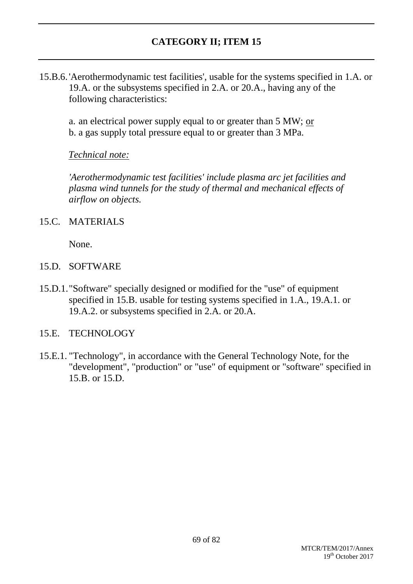15.B.6.'Aerothermodynamic test facilities', usable for the systems specified in 1.A. or 19.A. or the subsystems specified in 2.A. or 20.A., having any of the following characteristics:

a. an electrical power supply equal to or greater than 5 MW; or b. a gas supply total pressure equal to or greater than 3 MPa.

### *Technical note:*

*'Aerothermodynamic test facilities' include plasma arc jet facilities and plasma wind tunnels for the study of thermal and mechanical effects of airflow on objects.*

### 15.C. MATERIALS

None.

### 15.D. SOFTWARE

15.D.1."Software" specially designed or modified for the "use" of equipment specified in 15.B. usable for testing systems specified in 1.A., 19.A.1. or 19.A.2. or subsystems specified in 2.A. or 20.A.

### 15.E. TECHNOLOGY

15.E.1. "Technology", in accordance with the General Technology Note, for the "development", "production" or "use" of equipment or "software" specified in 15.B. or 15.D.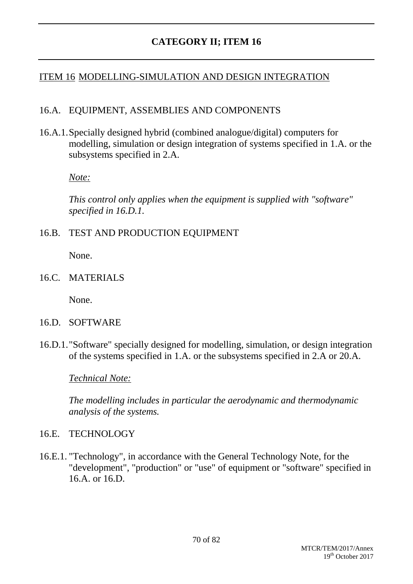## ITEM 16 MODELLING-SIMULATION AND DESIGN INTEGRATION

### 16.A. EQUIPMENT, ASSEMBLIES AND COMPONENTS

16.A.1.Specially designed hybrid (combined analogue/digital) computers for modelling, simulation or design integration of systems specified in 1.A. or the subsystems specified in 2.A.

*Note:*

*This control only applies when the equipment is supplied with "software" specified in 16.D.1.*

### 16.B. TEST AND PRODUCTION EQUIPMENT

None.

16.C. MATERIALS

None.

- 16.D. SOFTWARE
- 16.D.1."Software" specially designed for modelling, simulation, or design integration of the systems specified in 1.A. or the subsystems specified in 2.A or 20.A.

*Technical Note:*

*The modelling includes in particular the aerodynamic and thermodynamic analysis of the systems.*

#### 16.E. TECHNOLOGY

16.E.1. "Technology", in accordance with the General Technology Note, for the "development", "production" or "use" of equipment or "software" specified in 16.A. or 16.D.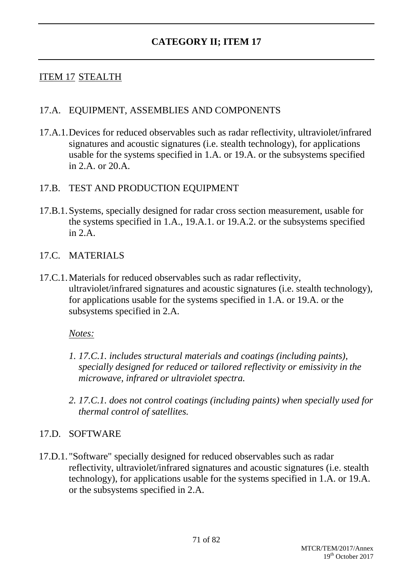## ITEM 17 STEALTH

### 17.A. EQUIPMENT, ASSEMBLIES AND COMPONENTS

17.A.1.Devices for reduced observables such as radar reflectivity, ultraviolet/infrared signatures and acoustic signatures (i.e. stealth technology), for applications usable for the systems specified in 1.A. or 19.A. or the subsystems specified in 2.A. or 20.A.

#### 17.B. TEST AND PRODUCTION EQUIPMENT

17.B.1.Systems, specially designed for radar cross section measurement, usable for the systems specified in 1.A., 19.A.1. or 19.A.2. or the subsystems specified in 2.A.

#### 17.C. MATERIALS

17.C.1.Materials for reduced observables such as radar reflectivity, ultraviolet/infrared signatures and acoustic signatures (i.e. stealth technology), for applications usable for the systems specified in 1.A. or 19.A. or the subsystems specified in 2.A.

#### *Notes:*

- *1. 17.C.1. includes structural materials and coatings (including paints), specially designed for reduced or tailored reflectivity or emissivity in the microwave, infrared or ultraviolet spectra.*
- *2. 17.C.1. does not control coatings (including paints) when specially used for thermal control of satellites.*

#### 17.D. SOFTWARE

17.D.1. "Software" specially designed for reduced observables such as radar reflectivity, ultraviolet/infrared signatures and acoustic signatures (i.e. stealth technology), for applications usable for the systems specified in 1.A. or 19.A. or the subsystems specified in 2.A.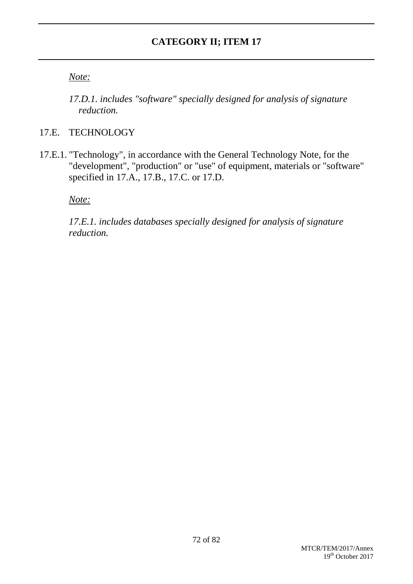*Note:*

*17.D.1. includes "software" specially designed for analysis of signature reduction.*

## 17.E. TECHNOLOGY

17.E.1. "Technology", in accordance with the General Technology Note, for the "development", "production" or "use" of equipment, materials or "software" specified in 17.A., 17.B., 17.C. or 17.D.

*Note:*

*17.E.1. includes databases specially designed for analysis of signature reduction.*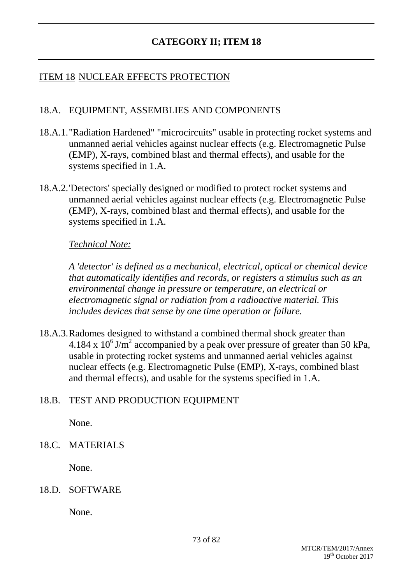### ITEM 18 NUCLEAR EFFECTS PROTECTION

#### 18.A. EQUIPMENT, ASSEMBLIES AND COMPONENTS

- 18.A.1."Radiation Hardened" "microcircuits" usable in protecting rocket systems and unmanned aerial vehicles against nuclear effects (e.g. Electromagnetic Pulse (EMP), X-rays, combined blast and thermal effects), and usable for the systems specified in 1.A.
- 18.A.2.'Detectors' specially designed or modified to protect rocket systems and unmanned aerial vehicles against nuclear effects (e.g. Electromagnetic Pulse (EMP), X-rays, combined blast and thermal effects), and usable for the systems specified in 1.A.

#### *Technical Note:*

*A 'detector' is defined as a mechanical, electrical, optical or chemical device that automatically identifies and records, or registers a stimulus such as an environmental change in pressure or temperature, an electrical or electromagnetic signal or radiation from a radioactive material. This includes devices that sense by one time operation or failure.*

18.A.3.Radomes designed to withstand a combined thermal shock greater than 4.184 x  $10^6$  J/m<sup>2</sup> accompanied by a peak over pressure of greater than 50 kPa, usable in protecting rocket systems and unmanned aerial vehicles against nuclear effects (e.g. Electromagnetic Pulse (EMP), X-rays, combined blast and thermal effects), and usable for the systems specified in 1.A.

73 of 82

#### 18.B. TEST AND PRODUCTION EQUIPMENT

None.

### 18.C. MATERIALS

None.

#### 18.D. SOFTWARE

None.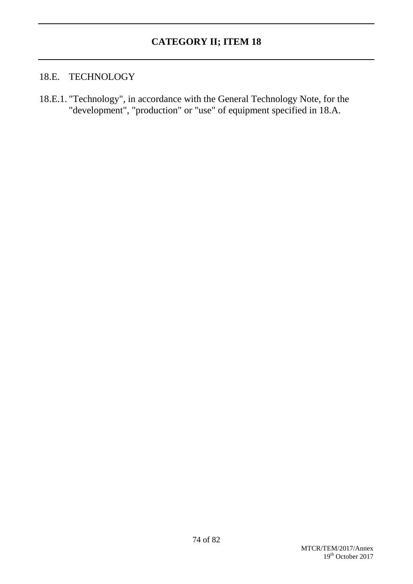### 18.E. TECHNOLOGY

18.E.1. "Technology", in accordance with the General Technology Note, for the "development", "production" or "use" of equipment specified in 18.A.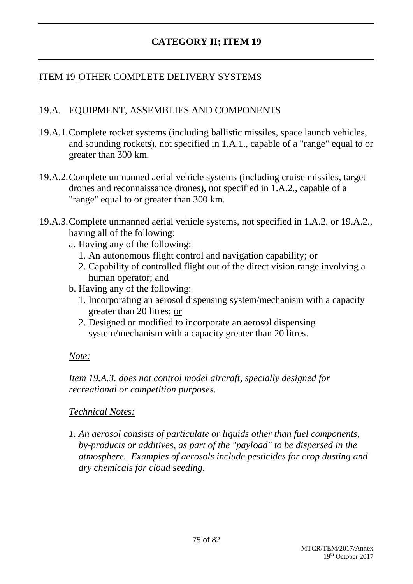### ITEM 19 OTHER COMPLETE DELIVERY SYSTEMS

### 19.A. EQUIPMENT, ASSEMBLIES AND COMPONENTS

- 19.A.1.Complete rocket systems (including ballistic missiles, space launch vehicles, and sounding rockets), not specified in 1.A.1., capable of a "range" equal to or greater than 300 km.
- 19.A.2.Complete unmanned aerial vehicle systems (including cruise missiles, target drones and reconnaissance drones), not specified in 1.A.2., capable of a "range" equal to or greater than 300 km.
- 19.A.3.Complete unmanned aerial vehicle systems, not specified in 1.A.2. or 19.A.2., having all of the following:
	- a. Having any of the following:
		- 1. An autonomous flight control and navigation capability; or
		- 2. Capability of controlled flight out of the direct vision range involving a human operator; and
	- b. Having any of the following:
		- 1. Incorporating an aerosol dispensing system/mechanism with a capacity greater than 20 litres; or
		- 2. Designed or modified to incorporate an aerosol dispensing system/mechanism with a capacity greater than 20 litres.

#### *Note:*

*Item 19.A.3. does not control model aircraft, specially designed for recreational or competition purposes.*

#### *Technical Notes:*

*1. An aerosol consists of particulate or liquids other than fuel components, by-products or additives, as part of the "payload" to be dispersed in the atmosphere. Examples of aerosols include pesticides for crop dusting and dry chemicals for cloud seeding.*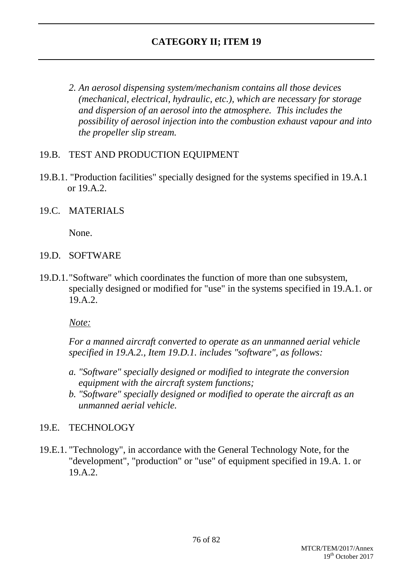*2. An aerosol dispensing system/mechanism contains all those devices (mechanical, electrical, hydraulic, etc.), which are necessary for storage and dispersion of an aerosol into the atmosphere. This includes the possibility of aerosol injection into the combustion exhaust vapour and into the propeller slip stream.*

### 19.B. TEST AND PRODUCTION EQUIPMENT

- 19.B.1. "Production facilities" specially designed for the systems specified in 19.A.1 or 19.A.2.
- 19.C. MATERIALS

None.

- 19.D. SOFTWARE
- 19.D.1."Software" which coordinates the function of more than one subsystem, specially designed or modified for "use" in the systems specified in 19.A.1. or 19.A.2.

*Note:*

*For a manned aircraft converted to operate as an unmanned aerial vehicle specified in 19.A.2., Item 19.D.1. includes "software", as follows:*

- *a. "Software" specially designed or modified to integrate the conversion equipment with the aircraft system functions;*
- *b. "Software" specially designed or modified to operate the aircraft as an unmanned aerial vehicle.*

### 19.E. TECHNOLOGY

19.E.1. "Technology", in accordance with the General Technology Note, for the "development", "production" or "use" of equipment specified in 19.A. 1. or 19.A.2.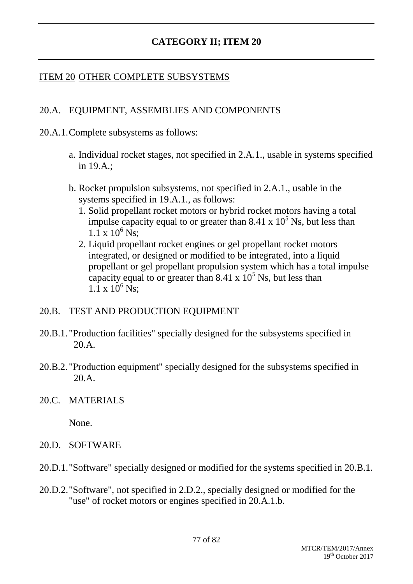### ITEM 20 OTHER COMPLETE SUBSYSTEMS

### 20.A. EQUIPMENT, ASSEMBLIES AND COMPONENTS

#### 20.A.1.Complete subsystems as follows:

- a. Individual rocket stages, not specified in 2.A.1., usable in systems specified in 19.A.;
- b. Rocket propulsion subsystems, not specified in 2.A.1., usable in the systems specified in 19.A.1., as follows:
	- 1. Solid propellant rocket motors or hybrid rocket motors having a total impulse capacity equal to or greater than  $8.41 \times 10^5$  Ns, but less than  $1.1 \times 10^6$  Ns:
	- 2. Liquid propellant rocket engines or gel propellant rocket motors integrated, or designed or modified to be integrated, into a liquid propellant or gel propellant propulsion system which has a total impulse capacity equal to or greater than 8.41 x  $10^5$  Ns, but less than  $1.1 \times 10^6$  Ns;

#### 20.B. TEST AND PRODUCTION EQUIPMENT

- 20.B.1. "Production facilities" specially designed for the subsystems specified in 20.A.
- 20.B.2. "Production equipment" specially designed for the subsystems specified in 20.A.

#### 20.C. MATERIALS

None.

- 20.D. SOFTWARE
- 20.D.1."Software" specially designed or modified for the systems specified in 20.B.1.
- 20.D.2."Software", not specified in 2.D.2., specially designed or modified for the "use" of rocket motors or engines specified in 20.A.1.b.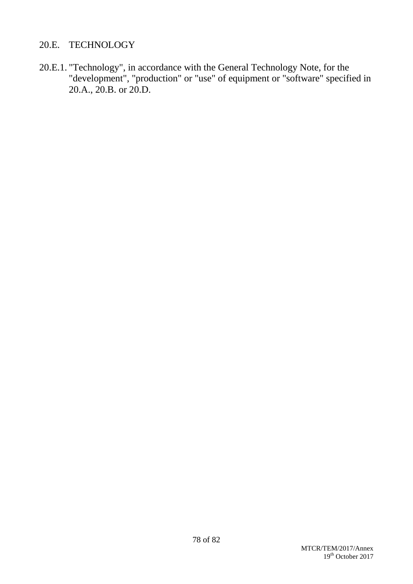### 20.E. TECHNOLOGY

20.E.1. "Technology", in accordance with the General Technology Note, for the "development", "production" or "use" of equipment or "software" specified in 20.A., 20.B. or 20.D.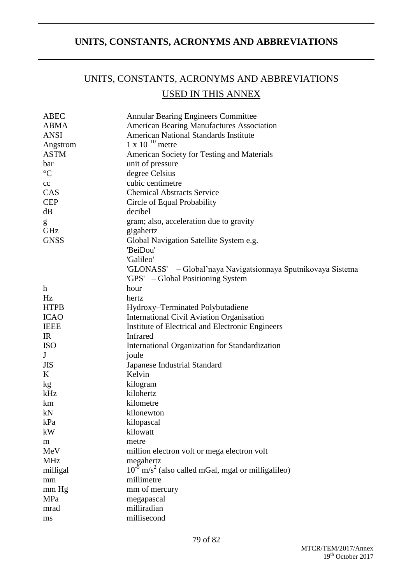### **UNITS, CONSTANTS, ACRONYMS AND ABBREVIATIONS**

# UNITS, CONSTANTS, ACRONYMS AND ABBREVIATIONS USED IN THIS ANNEX

| <b>ABEC</b>     | <b>Annular Bearing Engineers Committee</b>                          |  |  |
|-----------------|---------------------------------------------------------------------|--|--|
| <b>ABMA</b>     | <b>American Bearing Manufactures Association</b>                    |  |  |
| <b>ANSI</b>     | <b>American National Standards Institute</b>                        |  |  |
| Angstrom        | $1 \times 10^{-10}$ metre                                           |  |  |
| <b>ASTM</b>     | American Society for Testing and Materials                          |  |  |
| bar             | unit of pressure                                                    |  |  |
| $\rm ^{\circ}C$ | degree Celsius                                                      |  |  |
| cc              | cubic centimetre                                                    |  |  |
| CAS             | <b>Chemical Abstracts Service</b>                                   |  |  |
| <b>CEP</b>      | Circle of Equal Probability                                         |  |  |
| dB              | decibel                                                             |  |  |
| g               | gram; also, acceleration due to gravity                             |  |  |
| GHz             | gigahertz                                                           |  |  |
| <b>GNSS</b>     | Global Navigation Satellite System e.g.                             |  |  |
|                 | 'BeiDou'                                                            |  |  |
|                 | 'Galileo'                                                           |  |  |
|                 | 'GLONASS' - Global'naya Navigatsionnaya Sputnikovaya Sistema        |  |  |
|                 | 'GPS' – Global Positioning System                                   |  |  |
| h               | hour                                                                |  |  |
| Hz              | hertz                                                               |  |  |
| <b>HTPB</b>     | Hydroxy-Terminated Polybutadiene                                    |  |  |
| <b>ICAO</b>     | <b>International Civil Aviation Organisation</b>                    |  |  |
| <b>IEEE</b>     | Institute of Electrical and Electronic Engineers                    |  |  |
| IR              | Infrared                                                            |  |  |
| <b>ISO</b>      | International Organization for Standardization                      |  |  |
| $J_{\rm}$       | joule                                                               |  |  |
| <b>JIS</b>      | <b>Japanese Industrial Standard</b>                                 |  |  |
| K               | Kelvin                                                              |  |  |
| kg              | kilogram                                                            |  |  |
| kHz             | kilohertz                                                           |  |  |
| km              | kilometre                                                           |  |  |
| kN              | kilonewton                                                          |  |  |
| kPa             | kilopascal                                                          |  |  |
| kW              | kilowatt                                                            |  |  |
| m               | metre                                                               |  |  |
| MeV             | million electron volt or mega electron volt                         |  |  |
| <b>MHz</b>      | megahertz                                                           |  |  |
| milligal        | $10^{-5}$ m/s <sup>2</sup> (also called mGal, mgal or milligalileo) |  |  |
| mm              | millimetre                                                          |  |  |
| mm Hg           | mm of mercury                                                       |  |  |
| MPa             | megapascal                                                          |  |  |
| mrad            | milliradian                                                         |  |  |
| $\rm ms$        | millisecond                                                         |  |  |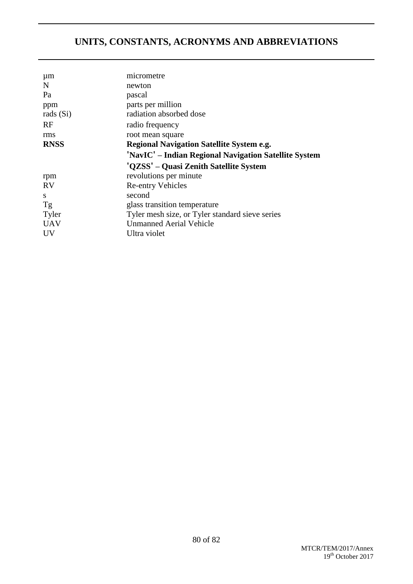# **UNITS, CONSTANTS, ACRONYMS AND ABBREVIATIONS**

| $\mu$ m     | micrometre                                            |  |
|-------------|-------------------------------------------------------|--|
| N           | newton                                                |  |
| Pa          | pascal                                                |  |
| ppm         | parts per million                                     |  |
| rads (Si)   | radiation absorbed dose                               |  |
| <b>RF</b>   | radio frequency                                       |  |
| rms         | root mean square                                      |  |
| <b>RNSS</b> | <b>Regional Navigation Satellite System e.g.</b>      |  |
|             | 'NavIC' - Indian Regional Navigation Satellite System |  |
|             | 'QZSS' - Quasi Zenith Satellite System                |  |
| rpm         | revolutions per minute                                |  |
| <b>RV</b>   | <b>Re-entry Vehicles</b>                              |  |
| S           | second                                                |  |
| Tg          | glass transition temperature                          |  |
| Tyler       | Tyler mesh size, or Tyler standard sieve series       |  |
| <b>UAV</b>  | <b>Unmanned Aerial Vehicle</b>                        |  |
| <b>UV</b>   | Ultra violet                                          |  |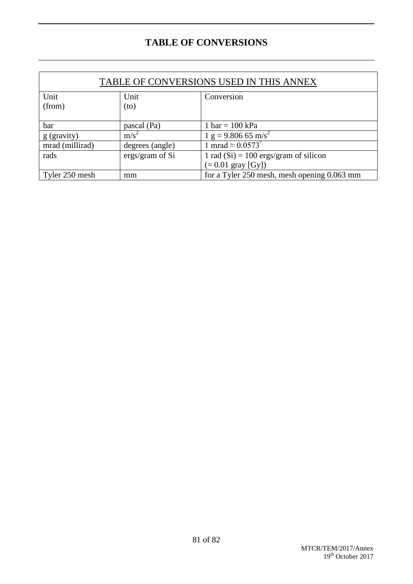### **TABLE OF CONVERSIONS**

| TABLE OF CONVERSIONS USED IN THIS ANNEX |                 |                                             |  |  |
|-----------------------------------------|-----------------|---------------------------------------------|--|--|
| Unit                                    | Unit            | Conversion                                  |  |  |
| (from)                                  | (to)            |                                             |  |  |
|                                         |                 |                                             |  |  |
| bar                                     | pascal (Pa)     | 1 bar = $100$ kPa                           |  |  |
| g (gravity)                             | $m/s^2$         | $1 g = 9.806 65 m/s^2$                      |  |  |
| mrad (millirad)                         | degrees (angle) | 1 mrad $\approx 0.0573$ °                   |  |  |
| rads                                    | ergs/gram of Si | 1 rad $(Si) = 100$ ergs/gram of silicon     |  |  |
|                                         |                 | $(= 0.01 \text{ gray} [Gy])$                |  |  |
| Tyler 250 mesh                          | mm              | for a Tyler 250 mesh, mesh opening 0.063 mm |  |  |